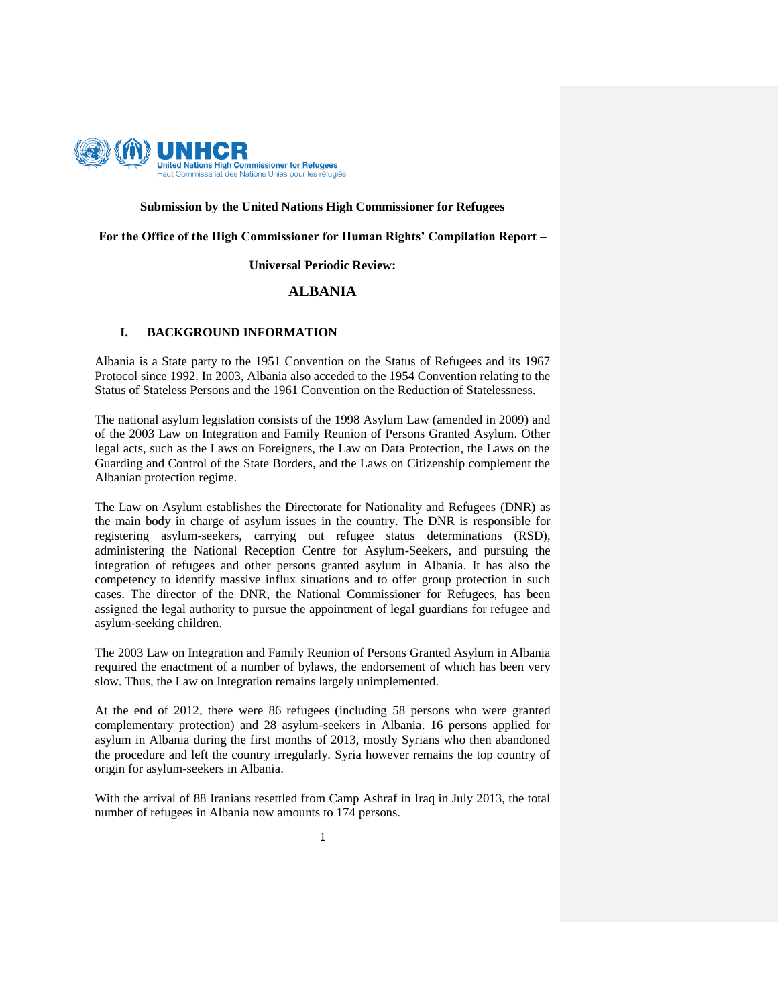

# **Submission by the United Nations High Commissioner for Refugees**

**For the Office of the High Commissioner for Human Rights' Compilation Report –**

**Universal Periodic Review:**

## **ALBANIA**

### **I. BACKGROUND INFORMATION**

Albania is a State party to the 1951 Convention on the Status of Refugees and its 1967 Protocol since 1992. In 2003, Albania also acceded to the 1954 Convention relating to the Status of Stateless Persons and the 1961 Convention on the Reduction of Statelessness.

The national asylum legislation consists of the 1998 Asylum Law (amended in 2009) and of the 2003 Law on Integration and Family Reunion of Persons Granted Asylum. Other legal acts, such as the Laws on Foreigners, the Law on Data Protection, the Laws on the Guarding and Control of the State Borders, and the Laws on Citizenship complement the Albanian protection regime.

The Law on Asylum establishes the Directorate for Nationality and Refugees (DNR) as the main body in charge of asylum issues in the country. The DNR is responsible for registering asylum-seekers, carrying out refugee status determinations (RSD), administering the National Reception Centre for Asylum-Seekers, and pursuing the integration of refugees and other persons granted asylum in Albania. It has also the competency to identify massive influx situations and to offer group protection in such cases. The director of the DNR, the National Commissioner for Refugees, has been assigned the legal authority to pursue the appointment of legal guardians for refugee and asylum-seeking children.

The 2003 Law on Integration and Family Reunion of Persons Granted Asylum in Albania required the enactment of a number of bylaws, the endorsement of which has been very slow. Thus, the Law on Integration remains largely unimplemented.

At the end of 2012, there were 86 refugees (including 58 persons who were granted complementary protection) and 28 asylum-seekers in Albania. 16 persons applied for asylum in Albania during the first months of 2013, mostly Syrians who then abandoned the procedure and left the country irregularly. Syria however remains the top country of origin for asylum-seekers in Albania.

With the arrival of 88 Iranians resettled from Camp Ashraf in Iraq in July 2013, the total number of refugees in Albania now amounts to 174 persons.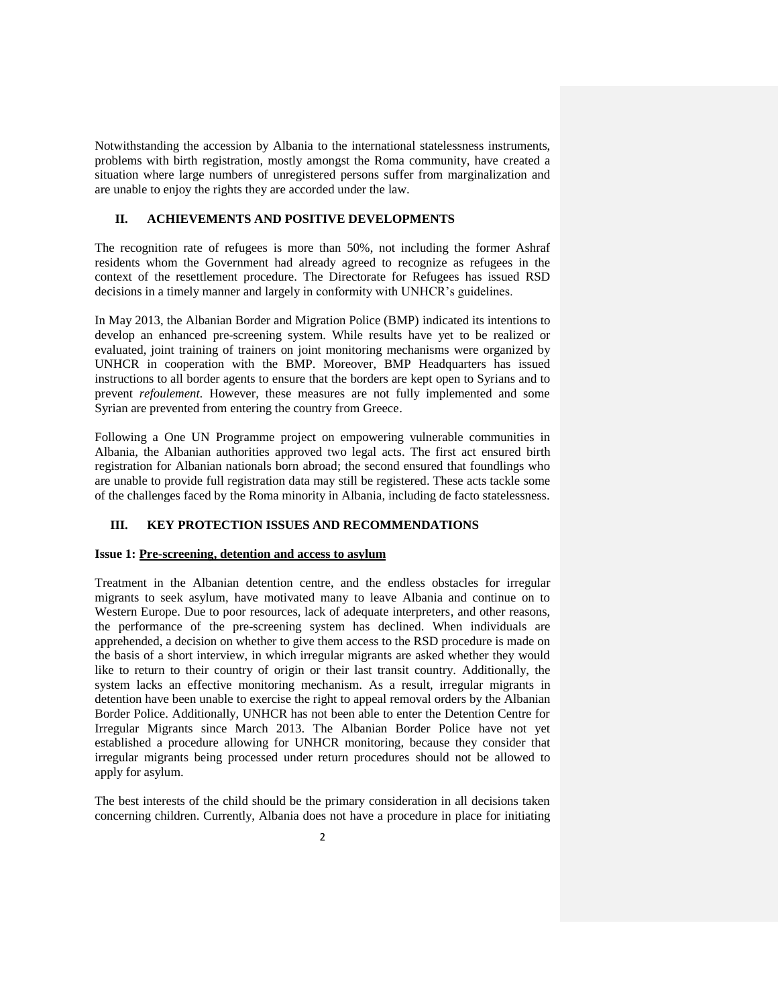Notwithstanding the accession by Albania to the international statelessness instruments, problems with birth registration, mostly amongst the Roma community, have created a situation where large numbers of unregistered persons suffer from marginalization and are unable to enjoy the rights they are accorded under the law.

# **II. ACHIEVEMENTS AND POSITIVE DEVELOPMENTS**

The recognition rate of refugees is more than 50%, not including the former Ashraf residents whom the Government had already agreed to recognize as refugees in the context of the resettlement procedure. The Directorate for Refugees has issued RSD decisions in a timely manner and largely in conformity with UNHCR's guidelines.

In May 2013, the Albanian Border and Migration Police (BMP) indicated its intentions to develop an enhanced pre-screening system. While results have yet to be realized or evaluated, joint training of trainers on joint monitoring mechanisms were organized by UNHCR in cooperation with the BMP. Moreover, BMP Headquarters has issued instructions to all border agents to ensure that the borders are kept open to Syrians and to prevent *refoulement.* However, these measures are not fully implemented and some Syrian are prevented from entering the country from Greece.

Following a One UN Programme project on empowering vulnerable communities in Albania, the Albanian authorities approved two legal acts. The first act ensured birth registration for Albanian nationals born abroad; the second ensured that foundlings who are unable to provide full registration data may still be registered. These acts tackle some of the challenges faced by the Roma minority in Albania, including de facto statelessness.

# **III. KEY PROTECTION ISSUES AND RECOMMENDATIONS**

### **Issue 1: Pre-screening, detention and access to asylum**

Treatment in the Albanian detention centre, and the endless obstacles for irregular migrants to seek asylum, have motivated many to leave Albania and continue on to Western Europe. Due to poor resources, lack of adequate interpreters, and other reasons, the performance of the pre-screening system has declined. When individuals are apprehended, a decision on whether to give them access to the RSD procedure is made on the basis of a short interview, in which irregular migrants are asked whether they would like to return to their country of origin or their last transit country. Additionally, the system lacks an effective monitoring mechanism. As a result, irregular migrants in detention have been unable to exercise the right to appeal removal orders by the Albanian Border Police. Additionally, UNHCR has not been able to enter the Detention Centre for Irregular Migrants since March 2013. The Albanian Border Police have not yet established a procedure allowing for UNHCR monitoring, because they consider that irregular migrants being processed under return procedures should not be allowed to apply for asylum.

The best interests of the child should be the primary consideration in all decisions taken concerning children. Currently, Albania does not have a procedure in place for initiating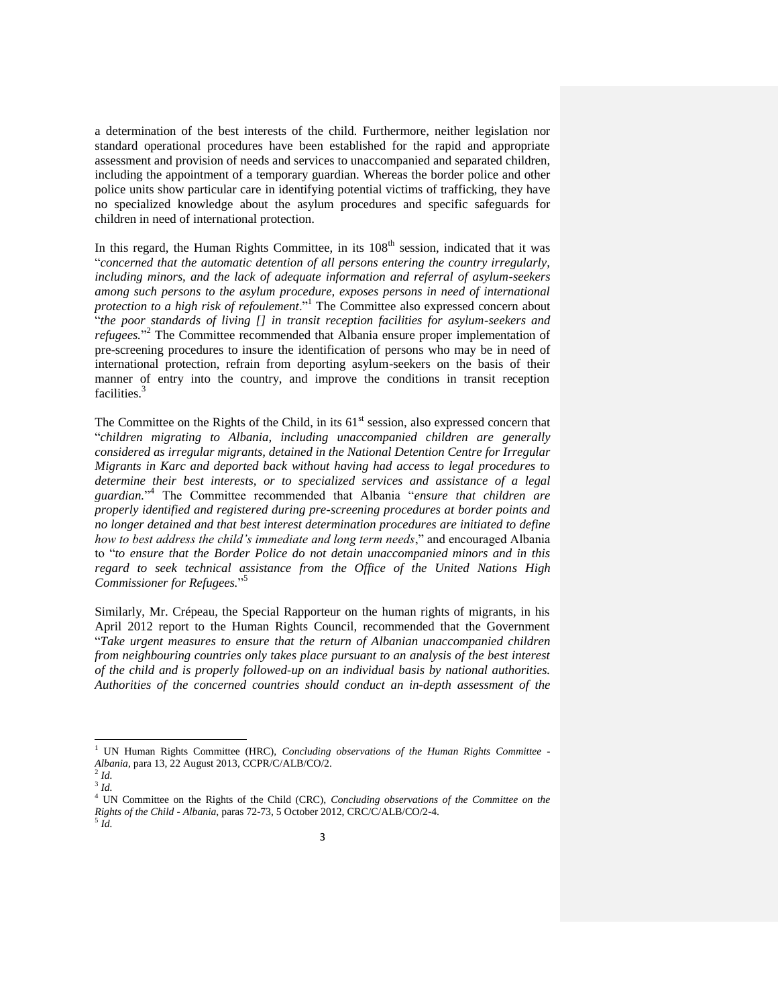a determination of the best interests of the child. Furthermore, neither legislation nor standard operational procedures have been established for the rapid and appropriate assessment and provision of needs and services to unaccompanied and separated children, including the appointment of a temporary guardian. Whereas the border police and other police units show particular care in identifying potential victims of trafficking, they have no specialized knowledge about the asylum procedures and specific safeguards for children in need of international protection.

In this regard, the Human Rights Committee, in its  $108<sup>th</sup>$  session, indicated that it was "*concerned that the automatic detention of all persons entering the country irregularly, including minors, and the lack of adequate information and referral of asylum-seekers among such persons to the asylum procedure, exposes persons in need of international protection to a high risk of refoulement*."<sup>1</sup> The Committee also expressed concern about "*the poor standards of living [] in transit reception facilities for asylum-seekers and*  refugees."<sup>2</sup> The Committee recommended that Albania ensure proper implementation of pre-screening procedures to insure the identification of persons who may be in need of international protection, refrain from deporting asylum-seekers on the basis of their manner of entry into the country, and improve the conditions in transit reception facilities.<sup>3</sup>

The Committee on the Rights of the Child, in its 61<sup>st</sup> session, also expressed concern that "*children migrating to Albania, including unaccompanied children are generally considered as irregular migrants, detained in the National Detention Centre for Irregular Migrants in Karc and deported back without having had access to legal procedures to determine their best interests, or to specialized services and assistance of a legal guardian.*" 4 The Committee recommended that Albania "*ensure that children are properly identified and registered during pre-screening procedures at border points and no longer detained and that best interest determination procedures are initiated to define how to best address the child's immediate and long term needs*," and encouraged Albania to "*to ensure that the Border Police do not detain unaccompanied minors and in this regard to seek technical assistance from the Office of the United Nations High Commissioner for Refugees.*" 5

Similarly, Mr. Crépeau, the Special Rapporteur on the human rights of migrants, in his April 2012 report to the Human Rights Council, recommended that the Government "*Take urgent measures to ensure that the return of Albanian unaccompanied children from neighbouring countries only takes place pursuant to an analysis of the best interest of the child and is properly followed-up on an individual basis by national authorities. Authorities of the concerned countries should conduct an in-depth assessment of the* 

 $\overline{\phantom{a}}$ 

<sup>1</sup> UN Human Rights Committee (HRC), *Concluding observations of the Human Rights Committee - Albania*, para 13, 22 August 2013, CCPR/C/ALB/CO/2.

<sup>2</sup> *Id.*  3 *Id.* 

<sup>4</sup> UN Committee on the Rights of the Child (CRC), *Concluding observations of the Committee on the Rights of the Child - Albania*, paras 72-73, 5 October 2012, CRC/C/ALB/CO/2-4. 5 *Id.*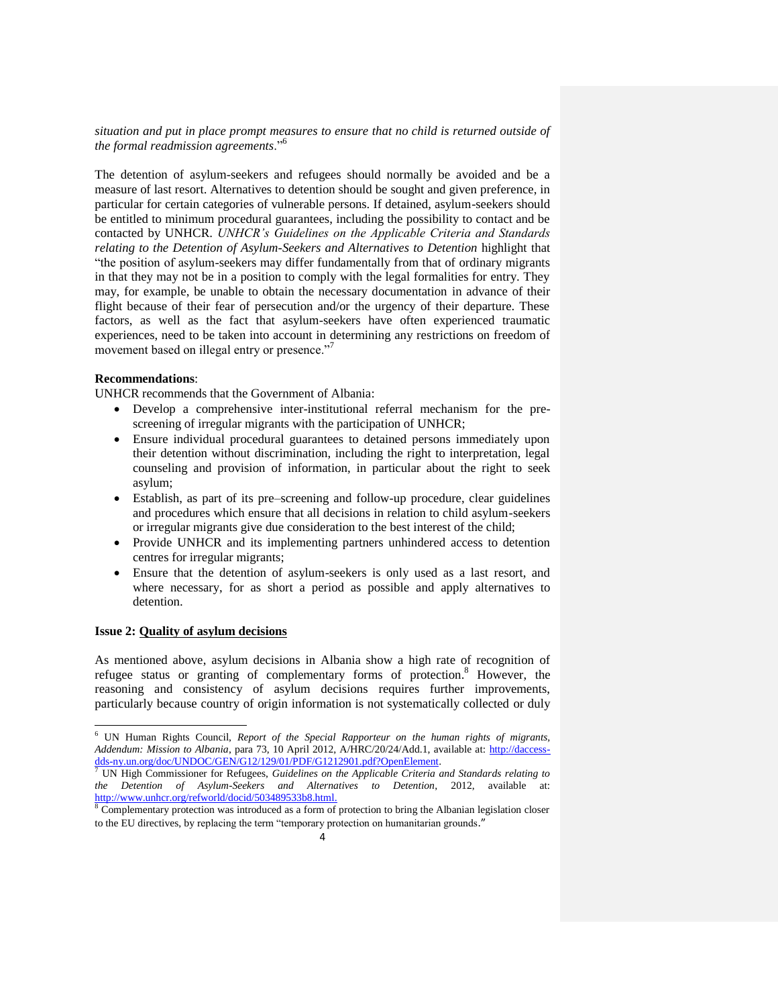*situation and put in place prompt measures to ensure that no child is returned outside of the formal readmission agreements*."<sup>6</sup>

The detention of asylum-seekers and refugees should normally be avoided and be a measure of last resort. Alternatives to detention should be sought and given preference, in particular for certain categories of vulnerable persons. If detained, asylum-seekers should be entitled to minimum procedural guarantees, including the possibility to contact and be contacted by UNHCR. *UNHCR's Guidelines on the Applicable Criteria and Standards relating to the Detention of Asylum-Seekers and Alternatives to Detention* highlight that "the position of asylum-seekers may differ fundamentally from that of ordinary migrants in that they may not be in a position to comply with the legal formalities for entry. They may, for example, be unable to obtain the necessary documentation in advance of their flight because of their fear of persecution and/or the urgency of their departure. These factors, as well as the fact that asylum-seekers have often experienced traumatic experiences, need to be taken into account in determining any restrictions on freedom of movement based on illegal entry or presence."<sup>7</sup>

# **Recommendations**:

UNHCR recommends that the Government of Albania:

- Develop a comprehensive inter-institutional referral mechanism for the prescreening of irregular migrants with the participation of UNHCR;
- Ensure individual procedural guarantees to detained persons immediately upon their detention without discrimination, including the right to interpretation, legal counseling and provision of information, in particular about the right to seek asylum;
- Establish, as part of its pre–screening and follow-up procedure, clear guidelines and procedures which ensure that all decisions in relation to child asylum-seekers or irregular migrants give due consideration to the best interest of the child;
- Provide UNHCR and its implementing partners unhindered access to detention centres for irregular migrants;
- Ensure that the detention of asylum-seekers is only used as a last resort, and where necessary, for as short a period as possible and apply alternatives to detention.

### **Issue 2: Quality of asylum decisions**

 $\overline{a}$ 

As mentioned above, asylum decisions in Albania show a high rate of recognition of refugee status or granting of complementary forms of protection.<sup>8</sup> However, the reasoning and consistency of asylum decisions requires further improvements, particularly because country of origin information is not systematically collected or duly

<sup>6</sup> UN Human Rights Council, *Report of the Special Rapporteur on the human rights of migrants, Addendum: Mission to Albania*, para 73, 10 April 2012, A/HRC/20/24/Add.1, available at: [http://daccess](http://daccess-dds-ny.un.org/doc/UNDOC/GEN/G12/129/01/PDF/G1212901.pdf?OpenElement)[dds-ny.un.org/doc/UNDOC/GEN/G12/129/01/PDF/G1212901.pdf?OpenElement.](http://daccess-dds-ny.un.org/doc/UNDOC/GEN/G12/129/01/PDF/G1212901.pdf?OpenElement)

<sup>7</sup> UN High Commissioner for Refugees, *Guidelines on the Applicable Criteria and Standards relating to the Detention of Asylum-Seekers and Alternatives to Detention*, 2012, available [http://www.unhcr.org/refworld/docid/503489533b8.html.](http://www.unhcr.org/refworld/docid/503489533b8.html)

<sup>&</sup>lt;sup>8</sup> Complementary protection was introduced as a form of protection to bring the Albanian legislation closer to the EU directives, by replacing the term "temporary protection on humanitarian grounds."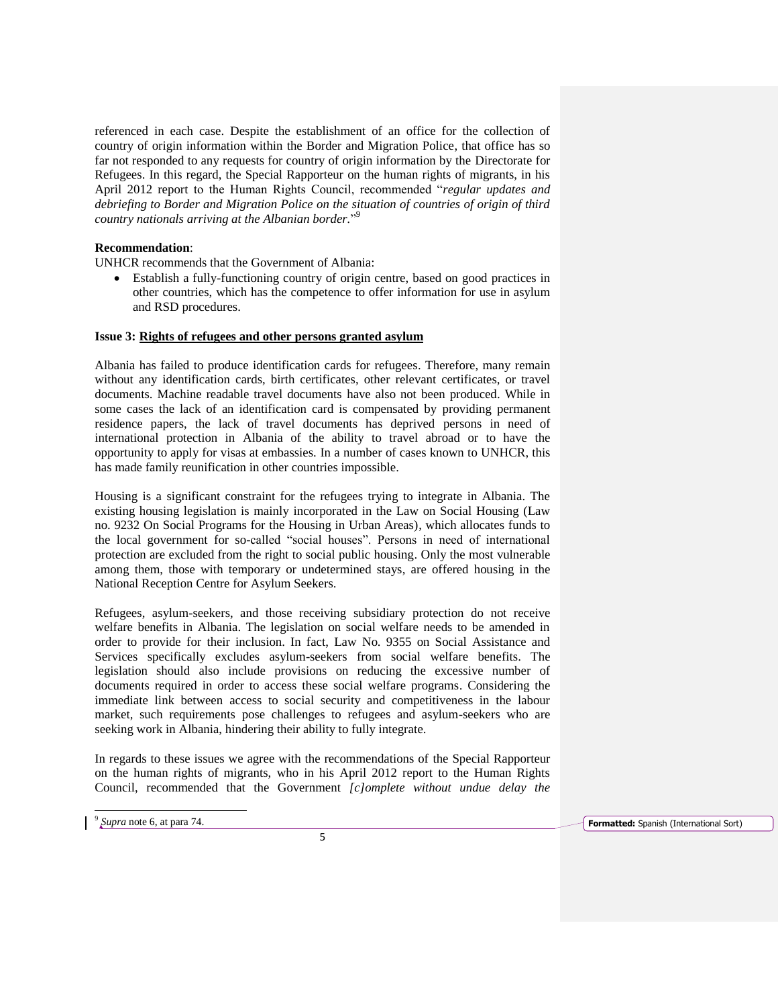referenced in each case. Despite the establishment of an office for the collection of country of origin information within the Border and Migration Police, that office has so far not responded to any requests for country of origin information by the Directorate for Refugees. In this regard, the Special Rapporteur on the human rights of migrants, in his April 2012 report to the Human Rights Council, recommended "*regular updates and debriefing to Border and Migration Police on the situation of countries of origin of third country nationals arriving at the Albanian border.*" 9

# **Recommendation**:

UNHCR recommends that the Government of Albania:

 Establish a fully-functioning country of origin centre, based on good practices in other countries, which has the competence to offer information for use in asylum and RSD procedures.

# **Issue 3: Rights of refugees and other persons granted asylum**

Albania has failed to produce identification cards for refugees. Therefore, many remain without any identification cards, birth certificates, other relevant certificates, or travel documents. Machine readable travel documents have also not been produced. While in some cases the lack of an identification card is compensated by providing permanent residence papers, the lack of travel documents has deprived persons in need of international protection in Albania of the ability to travel abroad or to have the opportunity to apply for visas at embassies. In a number of cases known to UNHCR, this has made family reunification in other countries impossible.

Housing is a significant constraint for the refugees trying to integrate in Albania. The existing housing legislation is mainly incorporated in the Law on Social Housing (Law no. 9232 On Social Programs for the Housing in Urban Areas), which allocates funds to the local government for so-called "social houses". Persons in need of international protection are excluded from the right to social public housing. Only the most vulnerable among them, those with temporary or undetermined stays, are offered housing in the National Reception Centre for Asylum Seekers.

Refugees, asylum-seekers, and those receiving subsidiary protection do not receive welfare benefits in Albania. The legislation on social welfare needs to be amended in order to provide for their inclusion. In fact, Law No. 9355 on Social Assistance and Services specifically excludes asylum-seekers from social welfare benefits. The legislation should also include provisions on reducing the excessive number of documents required in order to access these social welfare programs. Considering the immediate link between access to social security and competitiveness in the labour market, such requirements pose challenges to refugees and asylum-seekers who are seeking work in Albania, hindering their ability to fully integrate.

In regards to these issues we agree with the recommendations of the Special Rapporteur on the human rights of migrants, who in his April 2012 report to the Human Rights Council, recommended that the Government *[c]omplete without undue delay the* 

 $\overline{\phantom{a}}$ 

 $9$  Supra note 6, at para 74.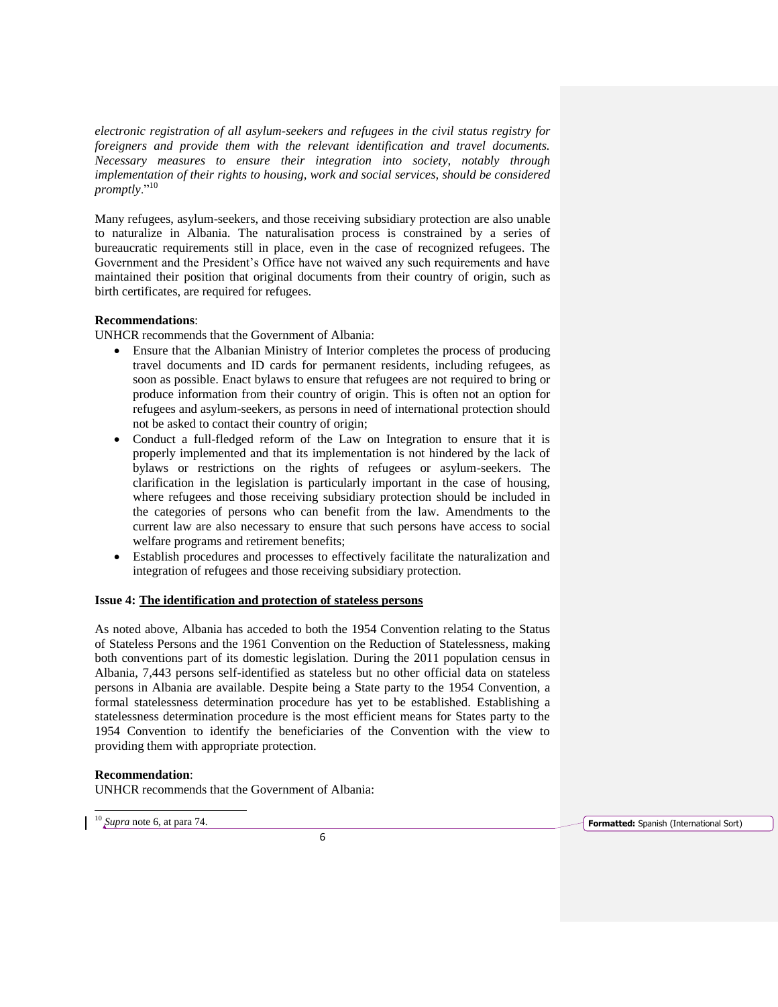*electronic registration of all asylum-seekers and refugees in the civil status registry for foreigners and provide them with the relevant identification and travel documents. Necessary measures to ensure their integration into society, notably through implementation of their rights to housing, work and social services, should be considered promptly*."<sup>10</sup>

Many refugees, asylum-seekers, and those receiving subsidiary protection are also unable to naturalize in Albania. The naturalisation process is constrained by a series of bureaucratic requirements still in place, even in the case of recognized refugees. The Government and the President's Office have not waived any such requirements and have maintained their position that original documents from their country of origin, such as birth certificates, are required for refugees.

# **Recommendations**:

UNHCR recommends that the Government of Albania:

- Ensure that the Albanian Ministry of Interior completes the process of producing travel documents and ID cards for permanent residents, including refugees, as soon as possible. Enact bylaws to ensure that refugees are not required to bring or produce information from their country of origin. This is often not an option for refugees and asylum-seekers, as persons in need of international protection should not be asked to contact their country of origin;
- Conduct a full-fledged reform of the Law on Integration to ensure that it is properly implemented and that its implementation is not hindered by the lack of bylaws or restrictions on the rights of refugees or asylum-seekers. The clarification in the legislation is particularly important in the case of housing, where refugees and those receiving subsidiary protection should be included in the categories of persons who can benefit from the law. Amendments to the current law are also necessary to ensure that such persons have access to social welfare programs and retirement benefits;
- Establish procedures and processes to effectively facilitate the naturalization and integration of refugees and those receiving subsidiary protection.

# **Issue 4: The identification and protection of stateless persons**

As noted above, Albania has acceded to both the 1954 Convention relating to the Status of Stateless Persons and the 1961 Convention on the Reduction of Statelessness, making both conventions part of its domestic legislation. During the 2011 population census in Albania, 7,443 persons self-identified as stateless but no other official data on stateless persons in Albania are available. Despite being a State party to the 1954 Convention, a formal statelessness determination procedure has yet to be established. Establishing a statelessness determination procedure is the most efficient means for States party to the 1954 Convention to identify the beneficiaries of the Convention with the view to providing them with appropriate protection.

# **Recommendation**:

UNHCR recommends that the Government of Albania: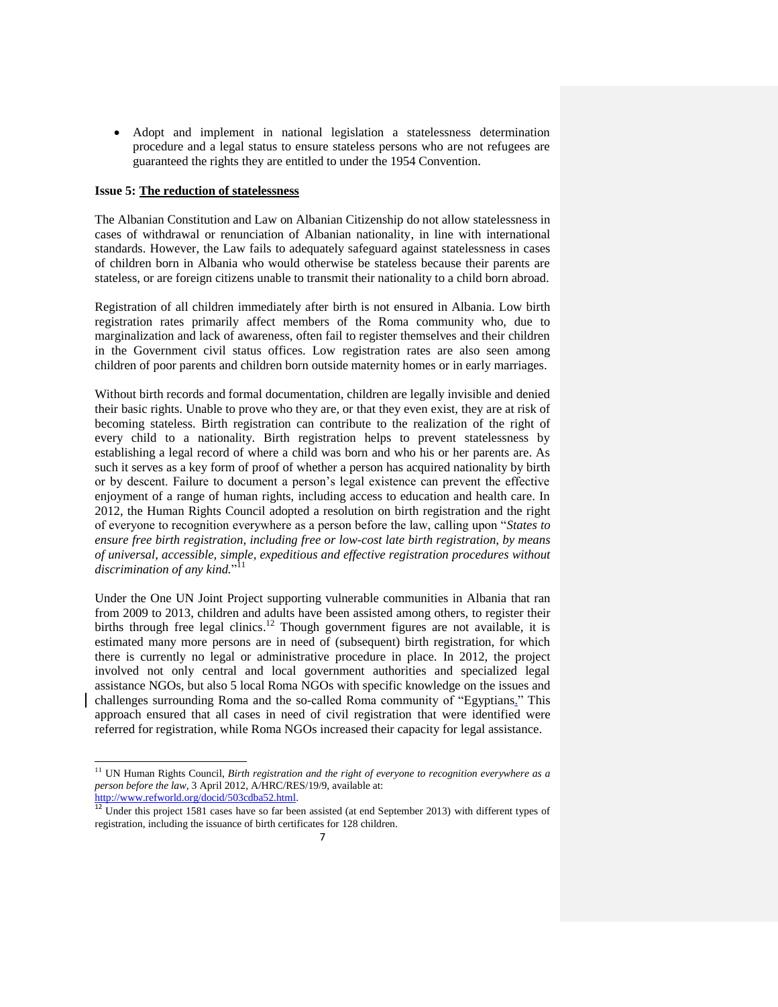Adopt and implement in national legislation a statelessness determination procedure and a legal status to ensure stateless persons who are not refugees are guaranteed the rights they are entitled to under the 1954 Convention.

#### **Issue 5: The reduction of statelessness**

The Albanian Constitution and Law on Albanian Citizenship do not allow statelessness in cases of withdrawal or renunciation of Albanian nationality, in line with international standards. However, the Law fails to adequately safeguard against statelessness in cases of children born in Albania who would otherwise be stateless because their parents are stateless, or are foreign citizens unable to transmit their nationality to a child born abroad.

Registration of all children immediately after birth is not ensured in Albania. Low birth registration rates primarily affect members of the Roma community who, due to marginalization and lack of awareness, often fail to register themselves and their children in the Government civil status offices. Low registration rates are also seen among children of poor parents and children born outside maternity homes or in early marriages.

Without birth records and formal documentation, children are legally invisible and denied their basic rights. Unable to prove who they are, or that they even exist, they are at risk of becoming stateless. Birth registration can contribute to the realization of the right of every child to a nationality. Birth registration helps to prevent statelessness by establishing a legal record of where a child was born and who his or her parents are. As such it serves as a key form of proof of whether a person has acquired nationality by birth or by descent. Failure to document a person's legal existence can prevent the effective enjoyment of a range of human rights, including access to education and health care. In 2012, the Human Rights Council adopted a resolution on birth registration and the right of everyone to recognition everywhere as a person before the law, calling upon "*States to ensure free birth registration, including free or low-cost late birth registration, by means of universal, accessible, simple, expeditious and effective registration procedures without discrimination of any kind.*" 11

Under the One UN Joint Project supporting vulnerable communities in Albania that ran from 2009 to 2013, children and adults have been assisted among others, to register their births through free legal clinics.<sup>12</sup> Though government figures are not available, it is estimated many more persons are in need of (subsequent) birth registration, for which there is currently no legal or administrative procedure in place. In 2012, the project involved not only central and local government authorities and specialized legal assistance NGOs, but also 5 local Roma NGOs with specific knowledge on the issues and challenges surrounding Roma and the so-called Roma community of "Egyptians." This approach ensured that all cases in need of civil registration that were identified were referred for registration, while Roma NGOs increased their capacity for legal assistance.

 $\overline{a}$ 

<sup>11</sup> UN Human Rights Council, *Birth registration and the right of everyone to recognition everywhere as a person before the law*, 3 April 2012, A/HRC/RES/19/9, available at: [http://www.refworld.org/docid/503cdba52.html.](http://www.refworld.org/docid/503cdba52.html)

<sup>&</sup>lt;sup>12</sup> Under this project 1581 cases have so far been assisted (at end September 2013) with different types of registration, including the issuance of birth certificates for 128 children.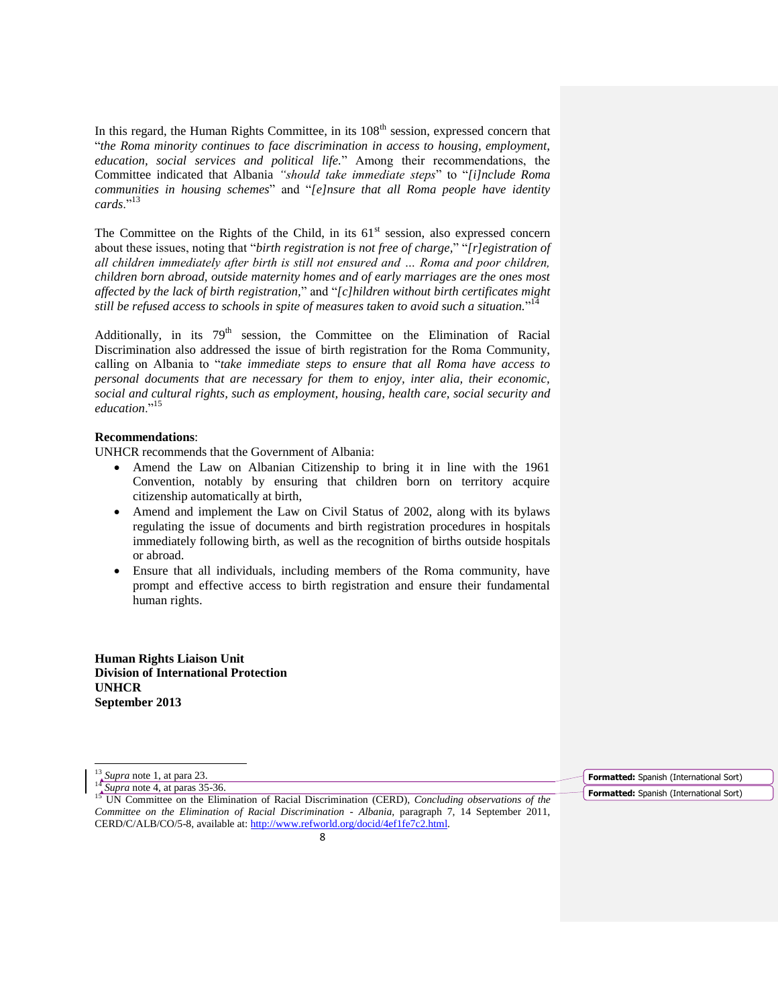In this regard, the Human Rights Committee, in its  $108<sup>th</sup>$  session, expressed concern that "*the Roma minority continues to face discrimination in access to housing, employment, education, social services and political life.*" Among their recommendations, the Committee indicated that Albania *"should take immediate steps*" to "*[i]nclude Roma communities in housing schemes*" and "*[e]nsure that all Roma people have identity cards*."<sup>13</sup>

The Committee on the Rights of the Child, in its  $61<sup>st</sup>$  session, also expressed concern about these issues, noting that "*birth registration is not free of charge,*" "*[r]egistration of all children immediately after birth is still not ensured and … Roma and poor children, children born abroad, outside maternity homes and of early marriages are the ones most affected by the lack of birth registration,*" and "*[c]hildren without birth certificates might still be refused access to schools in spite of measures taken to avoid such a situation.*" 14

Additionally, in its 79<sup>th</sup> session, the Committee on the Elimination of Racial Discrimination also addressed the issue of birth registration for the Roma Community, calling on Albania to "*take immediate steps to ensure that all Roma have access to personal documents that are necessary for them to enjoy, inter alia, their economic, social and cultural rights, such as employment, housing, health care, social security and education*."<sup>15</sup>

### **Recommendations**:

UNHCR recommends that the Government of Albania:

- Amend the Law on Albanian Citizenship to bring it in line with the 1961 Convention, notably by ensuring that children born on territory acquire citizenship automatically at birth,
- Amend and implement the Law on Civil Status of 2002, along with its bylaws regulating the issue of documents and birth registration procedures in hospitals immediately following birth, as well as the recognition of births outside hospitals or abroad.
- Ensure that all individuals, including members of the Roma community, have prompt and effective access to birth registration and ensure their fundamental human rights.

**Human Rights Liaison Unit Division of International Protection UNHCR September 2013**

 $\overline{\phantom{a}}$ 

**Formatted:** Spanish (International Sort) **Formatted:** Spanish (International Sort)

<sup>13</sup> *Supra* note 1, at para 23. <sup>14</sup> *Supra* note 4, at paras 35-36.

<sup>15</sup> UN Committee on the Elimination of Racial Discrimination (CERD), *Concluding observations of the Committee on the Elimination of Racial Discrimination - Albania*, paragraph 7, 14 September 2011, CERD/C/ALB/CO/5-8, available at[: http://www.refworld.org/docid/4ef1fe7c2.html.](http://www.refworld.org/docid/4ef1fe7c2.html)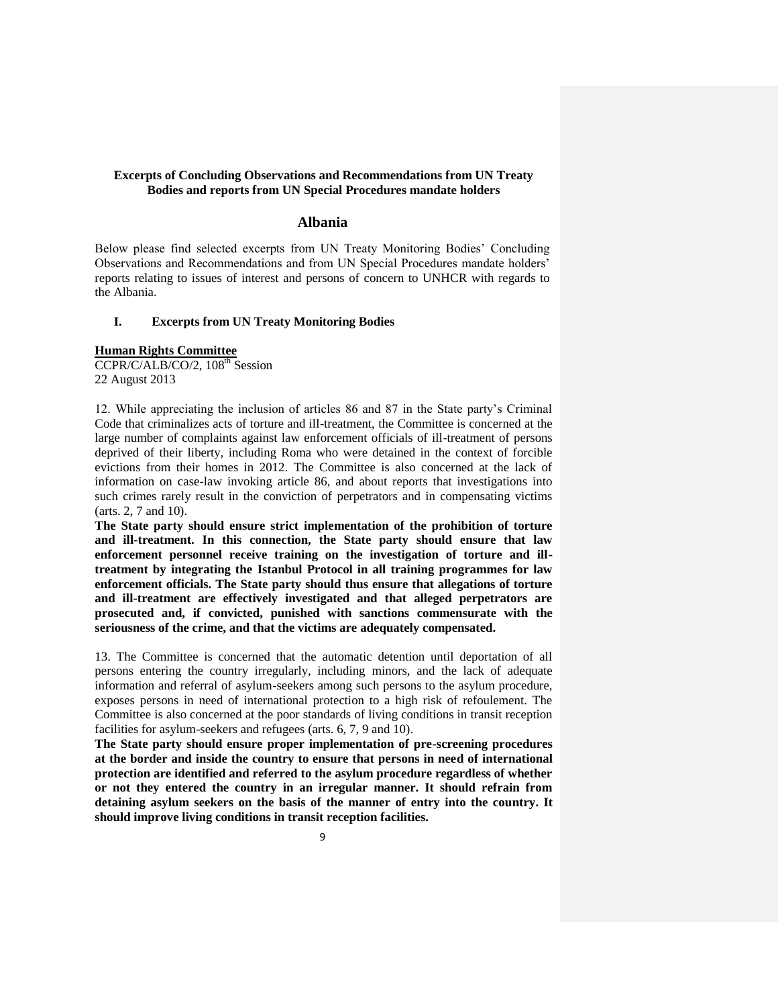# **Excerpts of Concluding Observations and Recommendations from UN Treaty Bodies and reports from UN Special Procedures mandate holders**

# **Albania**

Below please find selected excerpts from UN Treaty Monitoring Bodies' Concluding Observations and Recommendations and from UN Special Procedures mandate holders' reports relating to issues of interest and persons of concern to UNHCR with regards to the Albania.

# **I. Excerpts from UN Treaty Monitoring Bodies**

### **Human Rights Committee**

CCPR/C/ALB/CO/2, 108<sup>th</sup> Session 22 August 2013

12. While appreciating the inclusion of articles 86 and 87 in the State party's Criminal Code that criminalizes acts of torture and ill-treatment, the Committee is concerned at the large number of complaints against law enforcement officials of ill-treatment of persons deprived of their liberty, including Roma who were detained in the context of forcible evictions from their homes in 2012. The Committee is also concerned at the lack of information on case-law invoking article 86, and about reports that investigations into such crimes rarely result in the conviction of perpetrators and in compensating victims (arts. 2, 7 and 10).

**The State party should ensure strict implementation of the prohibition of torture and ill-treatment. In this connection, the State party should ensure that law enforcement personnel receive training on the investigation of torture and illtreatment by integrating the Istanbul Protocol in all training programmes for law enforcement officials. The State party should thus ensure that allegations of torture and ill-treatment are effectively investigated and that alleged perpetrators are prosecuted and, if convicted, punished with sanctions commensurate with the seriousness of the crime, and that the victims are adequately compensated.**

13. The Committee is concerned that the automatic detention until deportation of all persons entering the country irregularly, including minors, and the lack of adequate information and referral of asylum-seekers among such persons to the asylum procedure, exposes persons in need of international protection to a high risk of refoulement. The Committee is also concerned at the poor standards of living conditions in transit reception facilities for asylum-seekers and refugees (arts. 6, 7, 9 and 10).

**The State party should ensure proper implementation of pre-screening procedures at the border and inside the country to ensure that persons in need of international protection are identified and referred to the asylum procedure regardless of whether or not they entered the country in an irregular manner. It should refrain from detaining asylum seekers on the basis of the manner of entry into the country. It should improve living conditions in transit reception facilities.**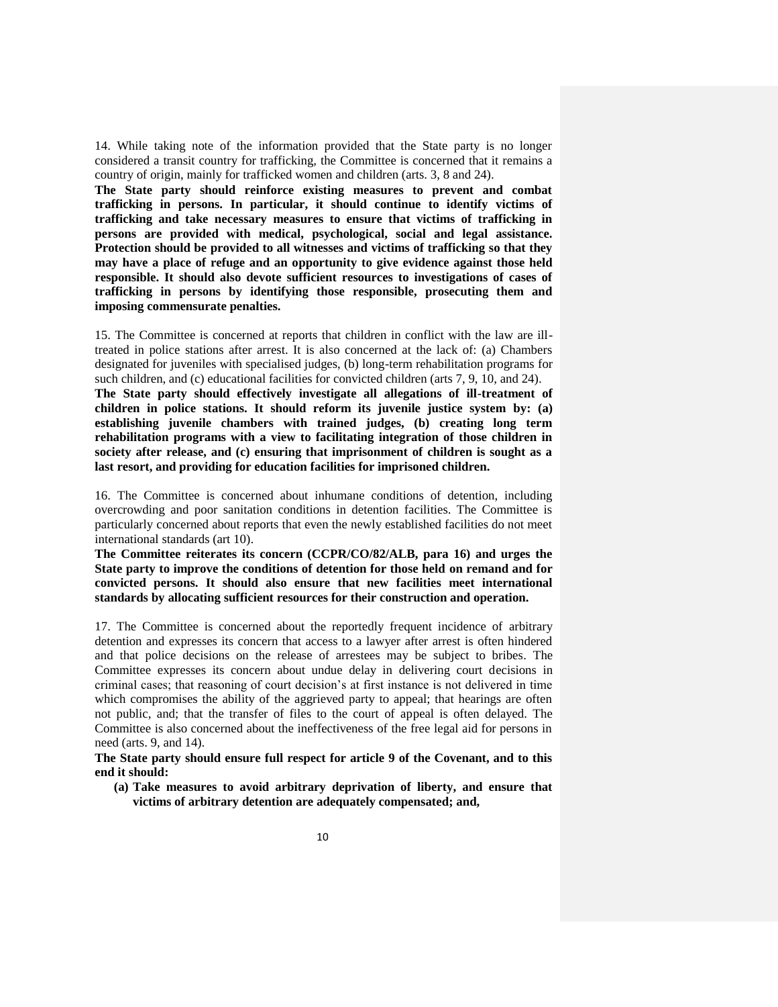14. While taking note of the information provided that the State party is no longer considered a transit country for trafficking, the Committee is concerned that it remains a country of origin, mainly for trafficked women and children (arts. 3, 8 and 24).

**The State party should reinforce existing measures to prevent and combat trafficking in persons. In particular, it should continue to identify victims of trafficking and take necessary measures to ensure that victims of trafficking in persons are provided with medical, psychological, social and legal assistance. Protection should be provided to all witnesses and victims of trafficking so that they may have a place of refuge and an opportunity to give evidence against those held responsible. It should also devote sufficient resources to investigations of cases of trafficking in persons by identifying those responsible, prosecuting them and imposing commensurate penalties.**

15. The Committee is concerned at reports that children in conflict with the law are illtreated in police stations after arrest. It is also concerned at the lack of: (a) Chambers designated for juveniles with specialised judges, (b) long-term rehabilitation programs for such children, and (c) educational facilities for convicted children (arts 7, 9, 10, and 24). **The State party should effectively investigate all allegations of ill-treatment of children in police stations. It should reform its juvenile justice system by: (a) establishing juvenile chambers with trained judges, (b) creating long term rehabilitation programs with a view to facilitating integration of those children in society after release, and (c) ensuring that imprisonment of children is sought as a last resort, and providing for education facilities for imprisoned children.**

16. The Committee is concerned about inhumane conditions of detention, including overcrowding and poor sanitation conditions in detention facilities. The Committee is particularly concerned about reports that even the newly established facilities do not meet international standards (art 10).

**The Committee reiterates its concern (CCPR/CO/82/ALB, para 16) and urges the State party to improve the conditions of detention for those held on remand and for convicted persons. It should also ensure that new facilities meet international standards by allocating sufficient resources for their construction and operation.**

17. The Committee is concerned about the reportedly frequent incidence of arbitrary detention and expresses its concern that access to a lawyer after arrest is often hindered and that police decisions on the release of arrestees may be subject to bribes. The Committee expresses its concern about undue delay in delivering court decisions in criminal cases; that reasoning of court decision's at first instance is not delivered in time which compromises the ability of the aggrieved party to appeal; that hearings are often not public, and; that the transfer of files to the court of appeal is often delayed. The Committee is also concerned about the ineffectiveness of the free legal aid for persons in need (arts. 9, and 14).

**The State party should ensure full respect for article 9 of the Covenant, and to this end it should:**

**(a) Take measures to avoid arbitrary deprivation of liberty, and ensure that victims of arbitrary detention are adequately compensated; and,**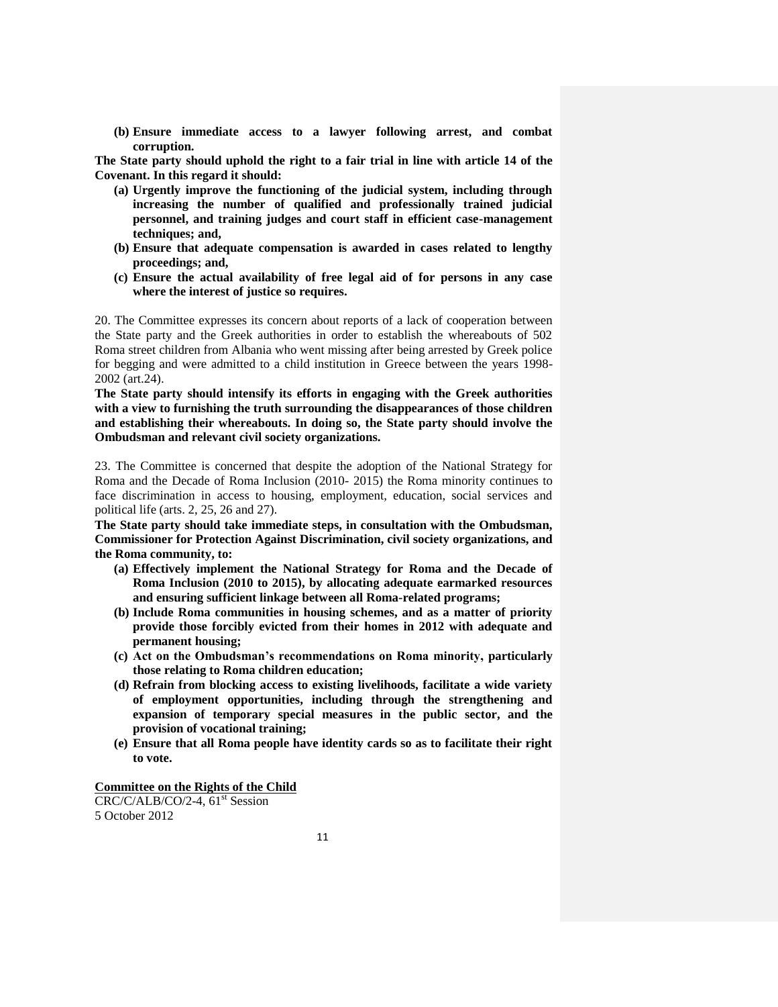**(b) Ensure immediate access to a lawyer following arrest, and combat corruption.**

**The State party should uphold the right to a fair trial in line with article 14 of the Covenant. In this regard it should:** 

- **(a) Urgently improve the functioning of the judicial system, including through increasing the number of qualified and professionally trained judicial personnel, and training judges and court staff in efficient case-management techniques; and,**
- **(b) Ensure that adequate compensation is awarded in cases related to lengthy proceedings; and,**
- **(c) Ensure the actual availability of free legal aid of for persons in any case where the interest of justice so requires.**

20. The Committee expresses its concern about reports of a lack of cooperation between the State party and the Greek authorities in order to establish the whereabouts of 502 Roma street children from Albania who went missing after being arrested by Greek police for begging and were admitted to a child institution in Greece between the years 1998- 2002 (art.24).

**The State party should intensify its efforts in engaging with the Greek authorities with a view to furnishing the truth surrounding the disappearances of those children and establishing their whereabouts. In doing so, the State party should involve the Ombudsman and relevant civil society organizations.** 

23. The Committee is concerned that despite the adoption of the National Strategy for Roma and the Decade of Roma Inclusion (2010- 2015) the Roma minority continues to face discrimination in access to housing, employment, education, social services and political life (arts. 2, 25, 26 and 27).

**The State party should take immediate steps, in consultation with the Ombudsman, Commissioner for Protection Against Discrimination, civil society organizations, and the Roma community, to:**

- **(a) Effectively implement the National Strategy for Roma and the Decade of Roma Inclusion (2010 to 2015), by allocating adequate earmarked resources and ensuring sufficient linkage between all Roma-related programs;**
- **(b) Include Roma communities in housing schemes, and as a matter of priority provide those forcibly evicted from their homes in 2012 with adequate and permanent housing;**
- **(c) Act on the Ombudsman's recommendations on Roma minority, particularly those relating to Roma children education;**
- **(d) Refrain from blocking access to existing livelihoods, facilitate a wide variety of employment opportunities, including through the strengthening and expansion of temporary special measures in the public sector, and the provision of vocational training;**
- **(e) Ensure that all Roma people have identity cards so as to facilitate their right to vote.**

# **Committee on the Rights of the Child**

 $CRC/C/ALB/CO/2-4$ , 61<sup>st</sup> Session 5 October 2012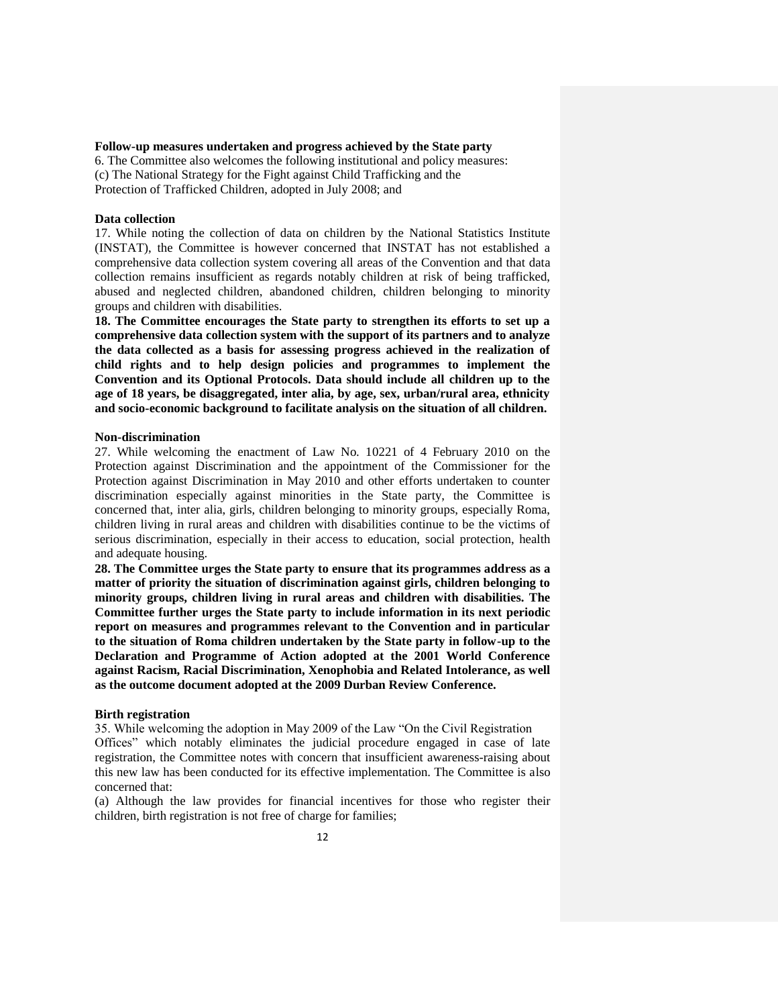#### **Follow-up measures undertaken and progress achieved by the State party**

6. The Committee also welcomes the following institutional and policy measures: (c) The National Strategy for the Fight against Child Trafficking and the Protection of Trafficked Children, adopted in July 2008; and

### **Data collection**

17. While noting the collection of data on children by the National Statistics Institute (INSTAT), the Committee is however concerned that INSTAT has not established a comprehensive data collection system covering all areas of the Convention and that data collection remains insufficient as regards notably children at risk of being trafficked, abused and neglected children, abandoned children, children belonging to minority groups and children with disabilities.

**18. The Committee encourages the State party to strengthen its efforts to set up a comprehensive data collection system with the support of its partners and to analyze the data collected as a basis for assessing progress achieved in the realization of child rights and to help design policies and programmes to implement the Convention and its Optional Protocols. Data should include all children up to the age of 18 years, be disaggregated, inter alia, by age, sex, urban/rural area, ethnicity and socio-economic background to facilitate analysis on the situation of all children.**

#### **Non-discrimination**

27. While welcoming the enactment of Law No. 10221 of 4 February 2010 on the Protection against Discrimination and the appointment of the Commissioner for the Protection against Discrimination in May 2010 and other efforts undertaken to counter discrimination especially against minorities in the State party, the Committee is concerned that, inter alia, girls, children belonging to minority groups, especially Roma, children living in rural areas and children with disabilities continue to be the victims of serious discrimination, especially in their access to education, social protection, health and adequate housing.

**28. The Committee urges the State party to ensure that its programmes address as a matter of priority the situation of discrimination against girls, children belonging to minority groups, children living in rural areas and children with disabilities. The Committee further urges the State party to include information in its next periodic report on measures and programmes relevant to the Convention and in particular to the situation of Roma children undertaken by the State party in follow-up to the Declaration and Programme of Action adopted at the 2001 World Conference against Racism, Racial Discrimination, Xenophobia and Related Intolerance, as well as the outcome document adopted at the 2009 Durban Review Conference.**

### **Birth registration**

35. While welcoming the adoption in May 2009 of the Law "On the Civil Registration Offices" which notably eliminates the judicial procedure engaged in case of late registration, the Committee notes with concern that insufficient awareness-raising about this new law has been conducted for its effective implementation. The Committee is also concerned that:

(a) Although the law provides for financial incentives for those who register their children, birth registration is not free of charge for families;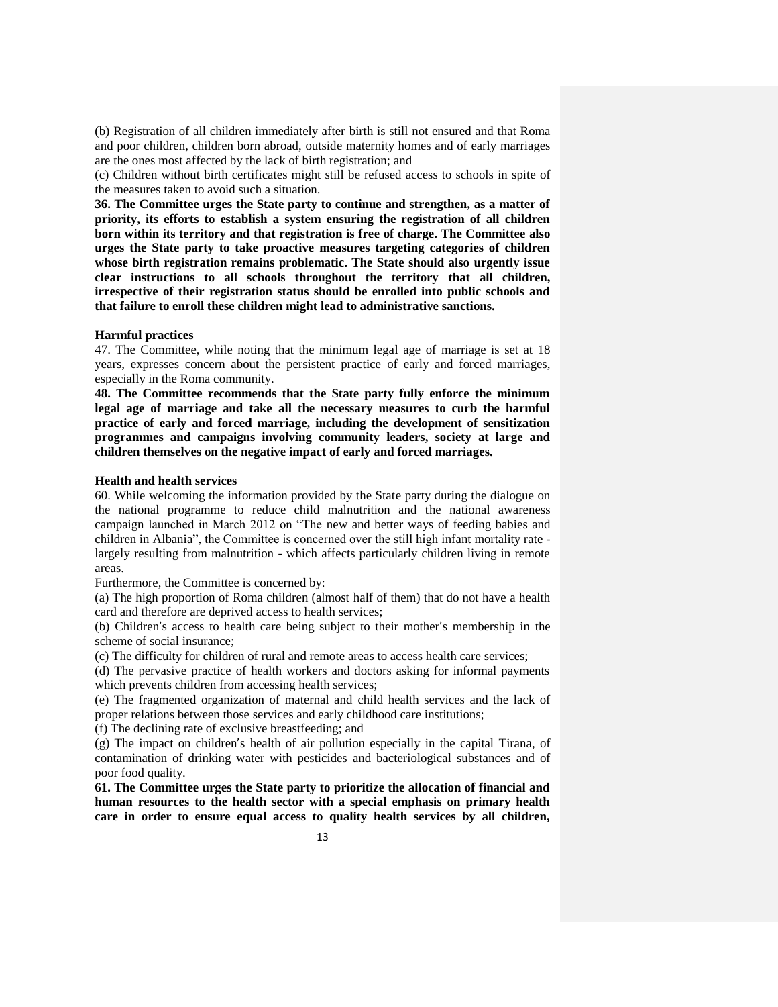(b) Registration of all children immediately after birth is still not ensured and that Roma and poor children, children born abroad, outside maternity homes and of early marriages are the ones most affected by the lack of birth registration; and

(c) Children without birth certificates might still be refused access to schools in spite of the measures taken to avoid such a situation.

**36. The Committee urges the State party to continue and strengthen, as a matter of priority, its efforts to establish a system ensuring the registration of all children born within its territory and that registration is free of charge. The Committee also urges the State party to take proactive measures targeting categories of children whose birth registration remains problematic. The State should also urgently issue clear instructions to all schools throughout the territory that all children, irrespective of their registration status should be enrolled into public schools and that failure to enroll these children might lead to administrative sanctions.**

### **Harmful practices**

47. The Committee, while noting that the minimum legal age of marriage is set at 18 years, expresses concern about the persistent practice of early and forced marriages, especially in the Roma community.

**48. The Committee recommends that the State party fully enforce the minimum legal age of marriage and take all the necessary measures to curb the harmful practice of early and forced marriage, including the development of sensitization programmes and campaigns involving community leaders, society at large and children themselves on the negative impact of early and forced marriages.**

# **Health and health services**

60. While welcoming the information provided by the State party during the dialogue on the national programme to reduce child malnutrition and the national awareness campaign launched in March 2012 on "The new and better ways of feeding babies and children in Albania", the Committee is concerned over the still high infant mortality rate largely resulting from malnutrition - which affects particularly children living in remote areas.

Furthermore, the Committee is concerned by:

(a) The high proportion of Roma children (almost half of them) that do not have a health card and therefore are deprived access to health services;

(b) Children's access to health care being subject to their mother's membership in the scheme of social insurance;

(c) The difficulty for children of rural and remote areas to access health care services;

(d) The pervasive practice of health workers and doctors asking for informal payments which prevents children from accessing health services;

(e) The fragmented organization of maternal and child health services and the lack of proper relations between those services and early childhood care institutions;

(f) The declining rate of exclusive breastfeeding; and

(g) The impact on children's health of air pollution especially in the capital Tirana, of contamination of drinking water with pesticides and bacteriological substances and of poor food quality.

**61. The Committee urges the State party to prioritize the allocation of financial and human resources to the health sector with a special emphasis on primary health care in order to ensure equal access to quality health services by all children,**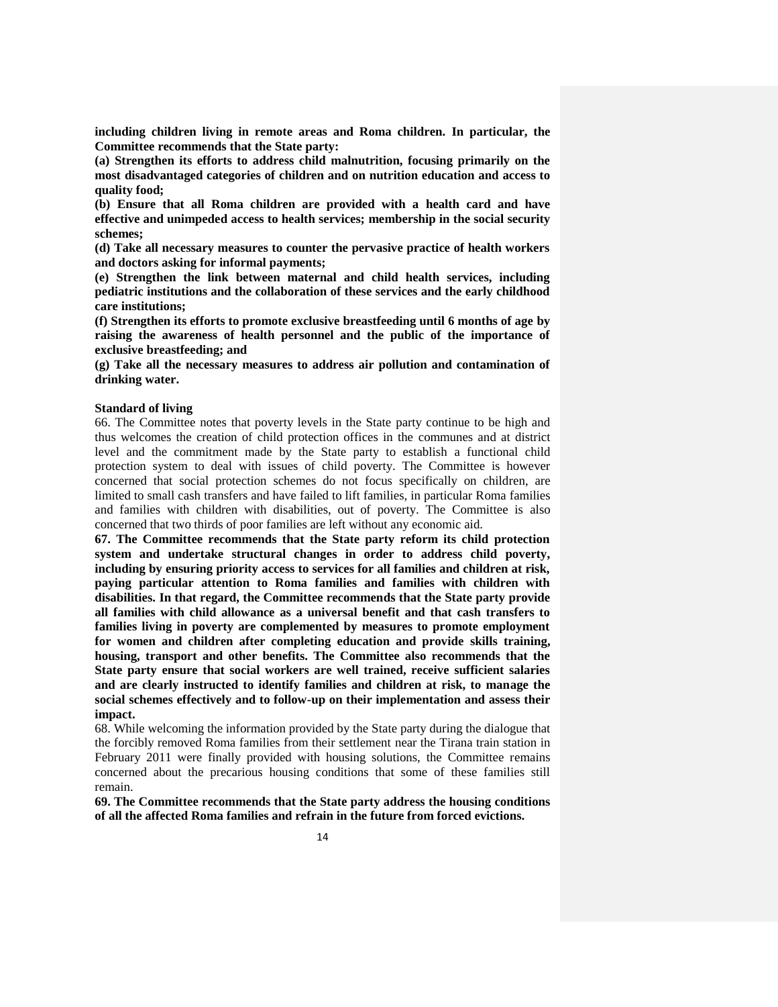**including children living in remote areas and Roma children. In particular, the Committee recommends that the State party:**

**(a) Strengthen its efforts to address child malnutrition, focusing primarily on the most disadvantaged categories of children and on nutrition education and access to quality food;**

**(b) Ensure that all Roma children are provided with a health card and have effective and unimpeded access to health services; membership in the social security schemes;** 

**(d) Take all necessary measures to counter the pervasive practice of health workers and doctors asking for informal payments;** 

**(e) Strengthen the link between maternal and child health services, including pediatric institutions and the collaboration of these services and the early childhood care institutions;** 

**(f) Strengthen its efforts to promote exclusive breastfeeding until 6 months of age by raising the awareness of health personnel and the public of the importance of exclusive breastfeeding; and**

**(g) Take all the necessary measures to address air pollution and contamination of drinking water.**

#### **Standard of living**

66. The Committee notes that poverty levels in the State party continue to be high and thus welcomes the creation of child protection offices in the communes and at district level and the commitment made by the State party to establish a functional child protection system to deal with issues of child poverty. The Committee is however concerned that social protection schemes do not focus specifically on children, are limited to small cash transfers and have failed to lift families, in particular Roma families and families with children with disabilities, out of poverty. The Committee is also concerned that two thirds of poor families are left without any economic aid.

**67. The Committee recommends that the State party reform its child protection system and undertake structural changes in order to address child poverty, including by ensuring priority access to services for all families and children at risk, paying particular attention to Roma families and families with children with disabilities. In that regard, the Committee recommends that the State party provide all families with child allowance as a universal benefit and that cash transfers to families living in poverty are complemented by measures to promote employment for women and children after completing education and provide skills training, housing, transport and other benefits. The Committee also recommends that the State party ensure that social workers are well trained, receive sufficient salaries and are clearly instructed to identify families and children at risk, to manage the social schemes effectively and to follow-up on their implementation and assess their impact.**

68. While welcoming the information provided by the State party during the dialogue that the forcibly removed Roma families from their settlement near the Tirana train station in February 2011 were finally provided with housing solutions, the Committee remains concerned about the precarious housing conditions that some of these families still remain.

**69. The Committee recommends that the State party address the housing conditions of all the affected Roma families and refrain in the future from forced evictions.**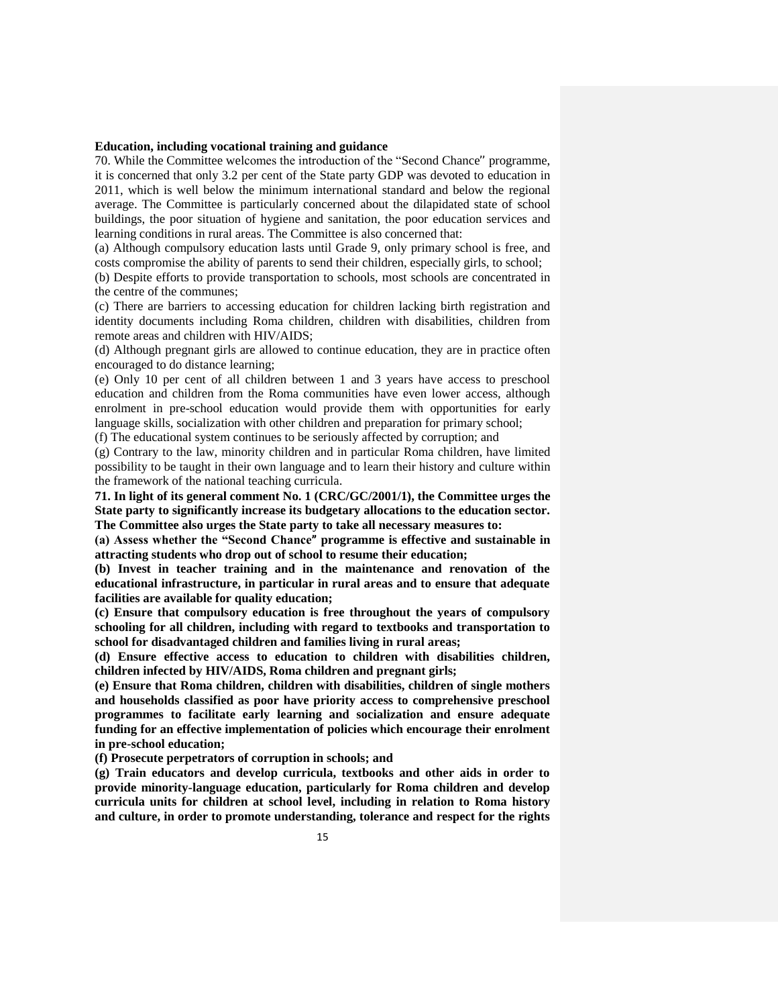### **Education, including vocational training and guidance**

70. While the Committee welcomes the introduction of the "Second Chance'' programme, it is concerned that only 3.2 per cent of the State party GDP was devoted to education in 2011, which is well below the minimum international standard and below the regional average. The Committee is particularly concerned about the dilapidated state of school buildings, the poor situation of hygiene and sanitation, the poor education services and learning conditions in rural areas. The Committee is also concerned that:

(a) Although compulsory education lasts until Grade 9, only primary school is free, and costs compromise the ability of parents to send their children, especially girls, to school;

(b) Despite efforts to provide transportation to schools, most schools are concentrated in the centre of the communes;

(c) There are barriers to accessing education for children lacking birth registration and identity documents including Roma children, children with disabilities, children from remote areas and children with HIV/AIDS;

(d) Although pregnant girls are allowed to continue education, they are in practice often encouraged to do distance learning;

(e) Only 10 per cent of all children between 1 and 3 years have access to preschool education and children from the Roma communities have even lower access, although enrolment in pre-school education would provide them with opportunities for early language skills, socialization with other children and preparation for primary school;

(f) The educational system continues to be seriously affected by corruption; and

(g) Contrary to the law, minority children and in particular Roma children, have limited possibility to be taught in their own language and to learn their history and culture within the framework of the national teaching curricula.

**71. In light of its general comment No. 1 (CRC/GC/2001/1), the Committee urges the State party to significantly increase its budgetary allocations to the education sector. The Committee also urges the State party to take all necessary measures to:**

**(a) Assess whether the "Second Chance**" **programme is effective and sustainable in attracting students who drop out of school to resume their education;**

**(b) Invest in teacher training and in the maintenance and renovation of the educational infrastructure, in particular in rural areas and to ensure that adequate facilities are available for quality education;**

**(c) Ensure that compulsory education is free throughout the years of compulsory schooling for all children, including with regard to textbooks and transportation to school for disadvantaged children and families living in rural areas;** 

**(d) Ensure effective access to education to children with disabilities children, children infected by HIV/AIDS, Roma children and pregnant girls;**

**(e) Ensure that Roma children, children with disabilities, children of single mothers and households classified as poor have priority access to comprehensive preschool programmes to facilitate early learning and socialization and ensure adequate funding for an effective implementation of policies which encourage their enrolment in pre-school education;**

**(f) Prosecute perpetrators of corruption in schools; and**

**(g) Train educators and develop curricula, textbooks and other aids in order to provide minority-language education, particularly for Roma children and develop curricula units for children at school level, including in relation to Roma history and culture, in order to promote understanding, tolerance and respect for the rights**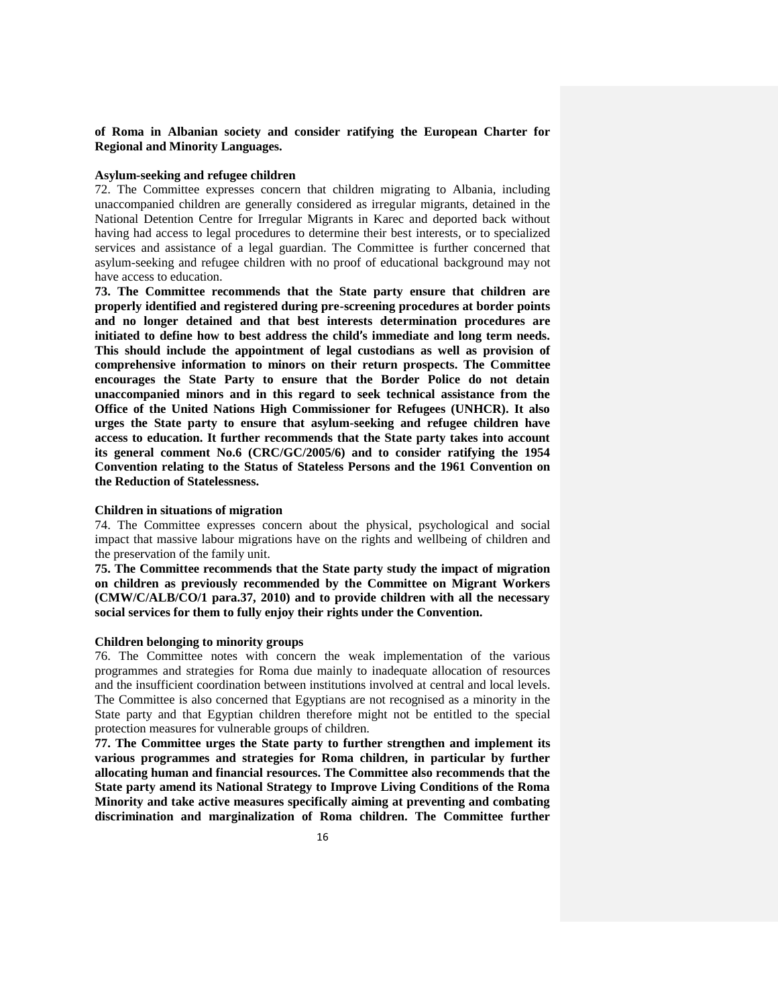# **of Roma in Albanian society and consider ratifying the European Charter for Regional and Minority Languages.**

# **Asylum-seeking and refugee children**

72. The Committee expresses concern that children migrating to Albania, including unaccompanied children are generally considered as irregular migrants, detained in the National Detention Centre for Irregular Migrants in Karec and deported back without having had access to legal procedures to determine their best interests, or to specialized services and assistance of a legal guardian. The Committee is further concerned that asylum-seeking and refugee children with no proof of educational background may not have access to education.

**73. The Committee recommends that the State party ensure that children are properly identified and registered during pre-screening procedures at border points and no longer detained and that best interests determination procedures are initiated to define how to best address the child**'**s immediate and long term needs. This should include the appointment of legal custodians as well as provision of comprehensive information to minors on their return prospects. The Committee encourages the State Party to ensure that the Border Police do not detain unaccompanied minors and in this regard to seek technical assistance from the Office of the United Nations High Commissioner for Refugees (UNHCR). It also urges the State party to ensure that asylum-seeking and refugee children have access to education. It further recommends that the State party takes into account its general comment No.6 (CRC/GC/2005/6) and to consider ratifying the 1954 Convention relating to the Status of Stateless Persons and the 1961 Convention on the Reduction of Statelessness.** 

# **Children in situations of migration**

74. The Committee expresses concern about the physical, psychological and social impact that massive labour migrations have on the rights and wellbeing of children and the preservation of the family unit.

**75. The Committee recommends that the State party study the impact of migration on children as previously recommended by the Committee on Migrant Workers (CMW/C/ALB/CO/1 para.37, 2010) and to provide children with all the necessary social services for them to fully enjoy their rights under the Convention.** 

### **Children belonging to minority groups**

76. The Committee notes with concern the weak implementation of the various programmes and strategies for Roma due mainly to inadequate allocation of resources and the insufficient coordination between institutions involved at central and local levels. The Committee is also concerned that Egyptians are not recognised as a minority in the State party and that Egyptian children therefore might not be entitled to the special protection measures for vulnerable groups of children.

**77. The Committee urges the State party to further strengthen and implement its various programmes and strategies for Roma children, in particular by further allocating human and financial resources. The Committee also recommends that the State party amend its National Strategy to Improve Living Conditions of the Roma Minority and take active measures specifically aiming at preventing and combating discrimination and marginalization of Roma children. The Committee further**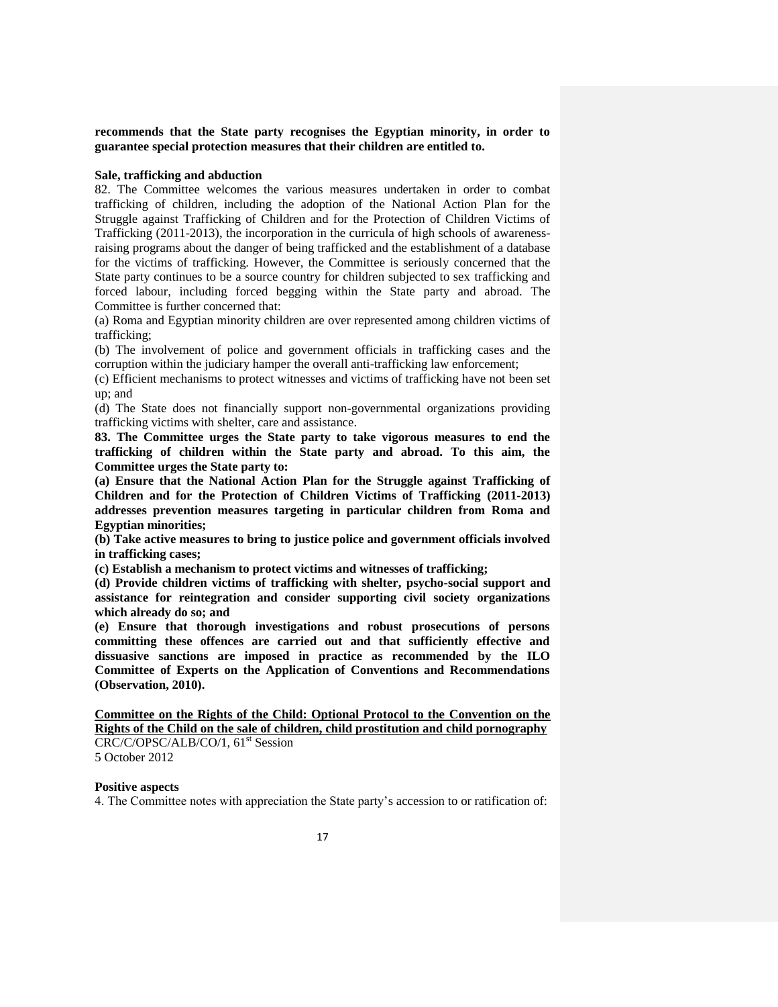**recommends that the State party recognises the Egyptian minority, in order to guarantee special protection measures that their children are entitled to.**

# **Sale, trafficking and abduction**

82. The Committee welcomes the various measures undertaken in order to combat trafficking of children, including the adoption of the National Action Plan for the Struggle against Trafficking of Children and for the Protection of Children Victims of Trafficking (2011-2013), the incorporation in the curricula of high schools of awarenessraising programs about the danger of being trafficked and the establishment of a database for the victims of trafficking. However, the Committee is seriously concerned that the State party continues to be a source country for children subjected to sex trafficking and forced labour, including forced begging within the State party and abroad. The Committee is further concerned that:

(a) Roma and Egyptian minority children are over represented among children victims of trafficking;

(b) The involvement of police and government officials in trafficking cases and the corruption within the judiciary hamper the overall anti-trafficking law enforcement;

(c) Efficient mechanisms to protect witnesses and victims of trafficking have not been set up; and

(d) The State does not financially support non-governmental organizations providing trafficking victims with shelter, care and assistance.

**83. The Committee urges the State party to take vigorous measures to end the trafficking of children within the State party and abroad. To this aim, the Committee urges the State party to:**

**(a) Ensure that the National Action Plan for the Struggle against Trafficking of Children and for the Protection of Children Victims of Trafficking (2011-2013) addresses prevention measures targeting in particular children from Roma and Egyptian minorities;**

**(b) Take active measures to bring to justice police and government officials involved in trafficking cases;**

**(c) Establish a mechanism to protect victims and witnesses of trafficking;** 

**(d) Provide children victims of trafficking with shelter, psycho-social support and assistance for reintegration and consider supporting civil society organizations which already do so; and**

**(e) Ensure that thorough investigations and robust prosecutions of persons committing these offences are carried out and that sufficiently effective and dissuasive sanctions are imposed in practice as recommended by the ILO Committee of Experts on the Application of Conventions and Recommendations (Observation, 2010).**

**Committee on the Rights of the Child: Optional Protocol to the Convention on the Rights of the Child on the sale of children, child prostitution and child pornography** CRC/C/OPSC/ALB/CO/1, 61<sup>st</sup> Session

5 October 2012

#### **Positive aspects**

4. The Committee notes with appreciation the State party's accession to or ratification of: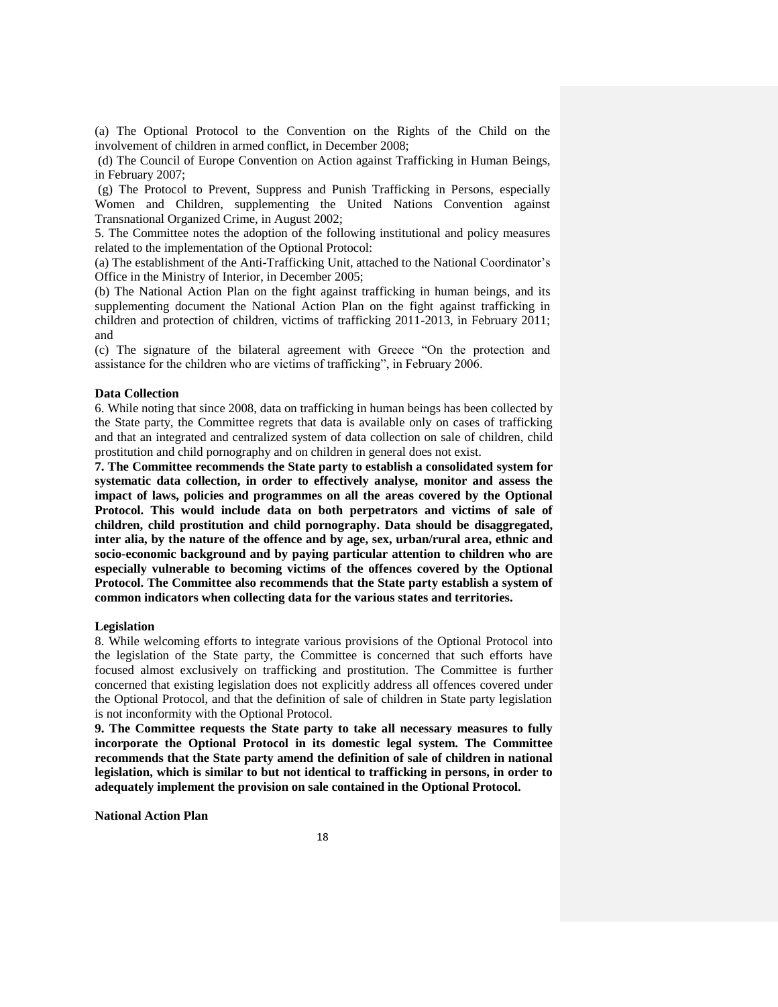(a) The Optional Protocol to the Convention on the Rights of the Child on the involvement of children in armed conflict, in December 2008;

(d) The Council of Europe Convention on Action against Trafficking in Human Beings, in February 2007;

(g) The Protocol to Prevent, Suppress and Punish Trafficking in Persons, especially Women and Children, supplementing the United Nations Convention against Transnational Organized Crime, in August 2002;

5. The Committee notes the adoption of the following institutional and policy measures related to the implementation of the Optional Protocol:

(a) The establishment of the Anti-Trafficking Unit, attached to the National Coordinator's Office in the Ministry of Interior, in December 2005;

(b) The National Action Plan on the fight against trafficking in human beings, and its supplementing document the National Action Plan on the fight against trafficking in children and protection of children, victims of trafficking 2011-2013, in February 2011; and

(c) The signature of the bilateral agreement with Greece "On the protection and assistance for the children who are victims of trafficking", in February 2006.

### **Data Collection**

6. While noting that since 2008, data on trafficking in human beings has been collected by the State party, the Committee regrets that data is available only on cases of trafficking and that an integrated and centralized system of data collection on sale of children, child prostitution and child pornography and on children in general does not exist.

**7. The Committee recommends the State party to establish a consolidated system for systematic data collection, in order to effectively analyse, monitor and assess the impact of laws, policies and programmes on all the areas covered by the Optional Protocol. This would include data on both perpetrators and victims of sale of children, child prostitution and child pornography. Data should be disaggregated, inter alia, by the nature of the offence and by age, sex, urban/rural area, ethnic and socio-economic background and by paying particular attention to children who are especially vulnerable to becoming victims of the offences covered by the Optional Protocol. The Committee also recommends that the State party establish a system of common indicators when collecting data for the various states and territories.**

### **Legislation**

8. While welcoming efforts to integrate various provisions of the Optional Protocol into the legislation of the State party, the Committee is concerned that such efforts have focused almost exclusively on trafficking and prostitution. The Committee is further concerned that existing legislation does not explicitly address all offences covered under the Optional Protocol, and that the definition of sale of children in State party legislation is not inconformity with the Optional Protocol.

**9. The Committee requests the State party to take all necessary measures to fully incorporate the Optional Protocol in its domestic legal system. The Committee recommends that the State party amend the definition of sale of children in national legislation, which is similar to but not identical to trafficking in persons, in order to adequately implement the provision on sale contained in the Optional Protocol.**

**National Action Plan**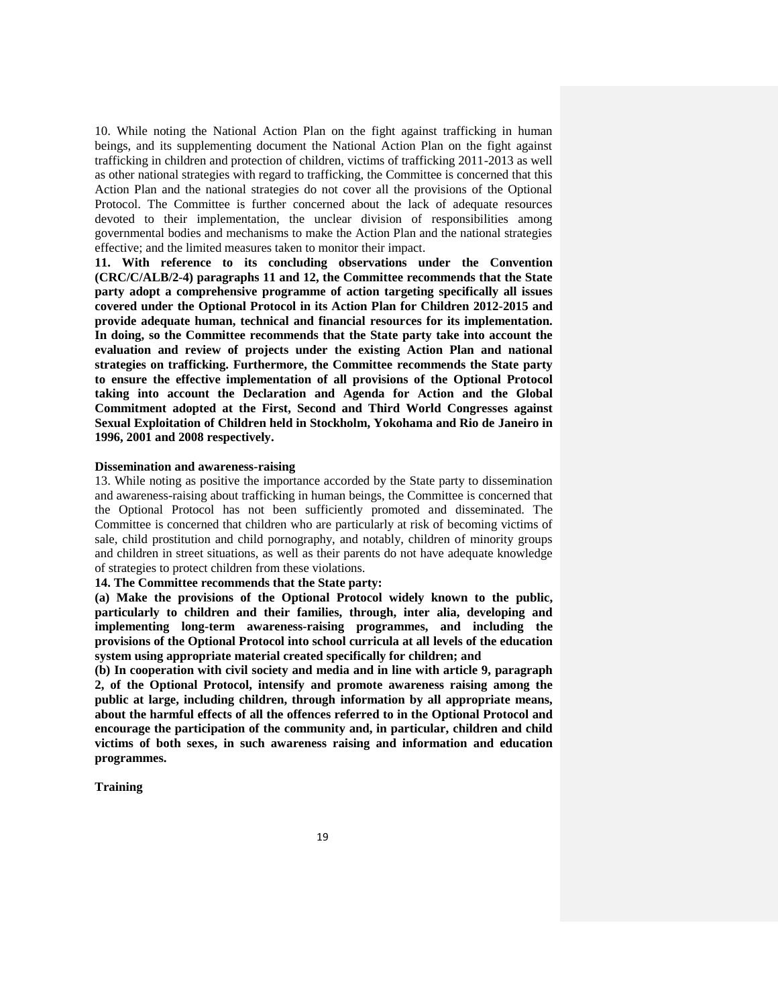10. While noting the National Action Plan on the fight against trafficking in human beings, and its supplementing document the National Action Plan on the fight against trafficking in children and protection of children, victims of trafficking 2011-2013 as well as other national strategies with regard to trafficking, the Committee is concerned that this Action Plan and the national strategies do not cover all the provisions of the Optional Protocol. The Committee is further concerned about the lack of adequate resources devoted to their implementation, the unclear division of responsibilities among governmental bodies and mechanisms to make the Action Plan and the national strategies effective; and the limited measures taken to monitor their impact.

**11. With reference to its concluding observations under the Convention (CRC/C/ALB/2-4) paragraphs 11 and 12, the Committee recommends that the State party adopt a comprehensive programme of action targeting specifically all issues covered under the Optional Protocol in its Action Plan for Children 2012-2015 and provide adequate human, technical and financial resources for its implementation. In doing, so the Committee recommends that the State party take into account the evaluation and review of projects under the existing Action Plan and national strategies on trafficking. Furthermore, the Committee recommends the State party to ensure the effective implementation of all provisions of the Optional Protocol taking into account the Declaration and Agenda for Action and the Global Commitment adopted at the First, Second and Third World Congresses against Sexual Exploitation of Children held in Stockholm, Yokohama and Rio de Janeiro in 1996, 2001 and 2008 respectively.**

#### **Dissemination and awareness-raising**

13. While noting as positive the importance accorded by the State party to dissemination and awareness-raising about trafficking in human beings, the Committee is concerned that the Optional Protocol has not been sufficiently promoted and disseminated. The Committee is concerned that children who are particularly at risk of becoming victims of sale, child prostitution and child pornography, and notably, children of minority groups and children in street situations, as well as their parents do not have adequate knowledge of strategies to protect children from these violations.

# **14. The Committee recommends that the State party:**

**(a) Make the provisions of the Optional Protocol widely known to the public, particularly to children and their families, through, inter alia, developing and implementing long-term awareness-raising programmes, and including the provisions of the Optional Protocol into school curricula at all levels of the education system using appropriate material created specifically for children; and**

**(b) In cooperation with civil society and media and in line with article 9, paragraph 2, of the Optional Protocol, intensify and promote awareness raising among the public at large, including children, through information by all appropriate means, about the harmful effects of all the offences referred to in the Optional Protocol and encourage the participation of the community and, in particular, children and child victims of both sexes, in such awareness raising and information and education programmes.**

**Training**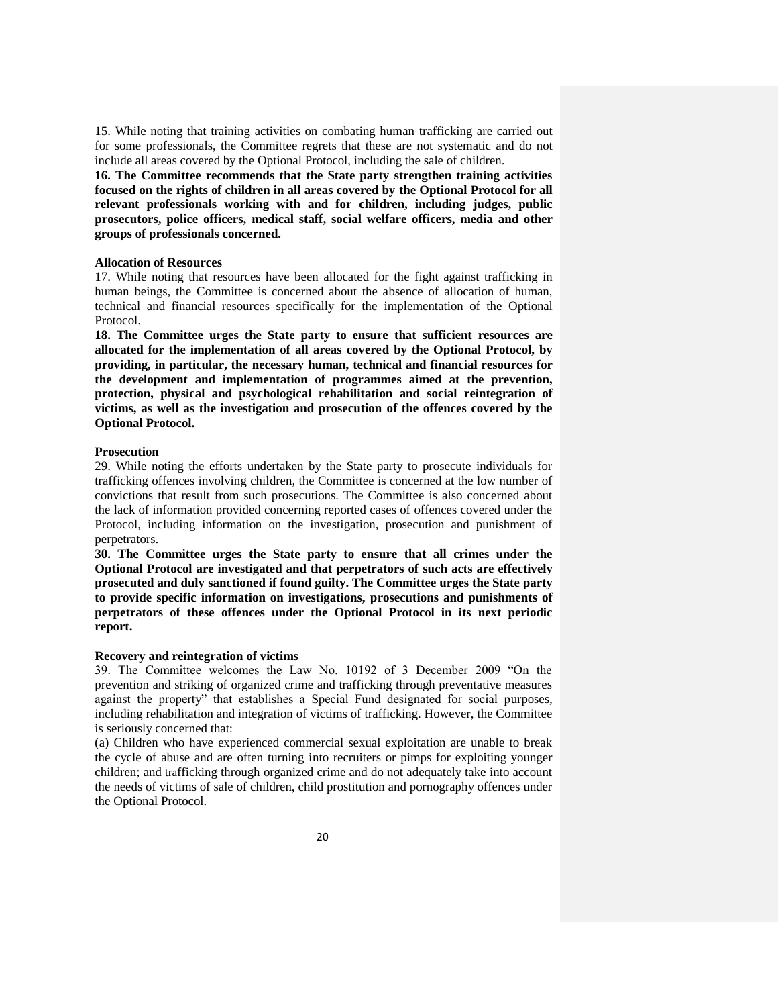15. While noting that training activities on combating human trafficking are carried out for some professionals, the Committee regrets that these are not systematic and do not include all areas covered by the Optional Protocol, including the sale of children.

**16. The Committee recommends that the State party strengthen training activities focused on the rights of children in all areas covered by the Optional Protocol for all relevant professionals working with and for children, including judges, public prosecutors, police officers, medical staff, social welfare officers, media and other groups of professionals concerned.**

### **Allocation of Resources**

17. While noting that resources have been allocated for the fight against trafficking in human beings, the Committee is concerned about the absence of allocation of human, technical and financial resources specifically for the implementation of the Optional Protocol.

**18. The Committee urges the State party to ensure that sufficient resources are allocated for the implementation of all areas covered by the Optional Protocol, by providing, in particular, the necessary human, technical and financial resources for the development and implementation of programmes aimed at the prevention, protection, physical and psychological rehabilitation and social reintegration of victims, as well as the investigation and prosecution of the offences covered by the Optional Protocol.**

### **Prosecution**

29. While noting the efforts undertaken by the State party to prosecute individuals for trafficking offences involving children, the Committee is concerned at the low number of convictions that result from such prosecutions. The Committee is also concerned about the lack of information provided concerning reported cases of offences covered under the Protocol, including information on the investigation, prosecution and punishment of perpetrators.

**30. The Committee urges the State party to ensure that all crimes under the Optional Protocol are investigated and that perpetrators of such acts are effectively prosecuted and duly sanctioned if found guilty. The Committee urges the State party to provide specific information on investigations, prosecutions and punishments of perpetrators of these offences under the Optional Protocol in its next periodic report.**

### **Recovery and reintegration of victims**

39. The Committee welcomes the Law No. 10192 of 3 December 2009 "On the prevention and striking of organized crime and trafficking through preventative measures against the property" that establishes a Special Fund designated for social purposes, including rehabilitation and integration of victims of trafficking. However, the Committee is seriously concerned that:

(a) Children who have experienced commercial sexual exploitation are unable to break the cycle of abuse and are often turning into recruiters or pimps for exploiting younger children; and trafficking through organized crime and do not adequately take into account the needs of victims of sale of children, child prostitution and pornography offences under the Optional Protocol.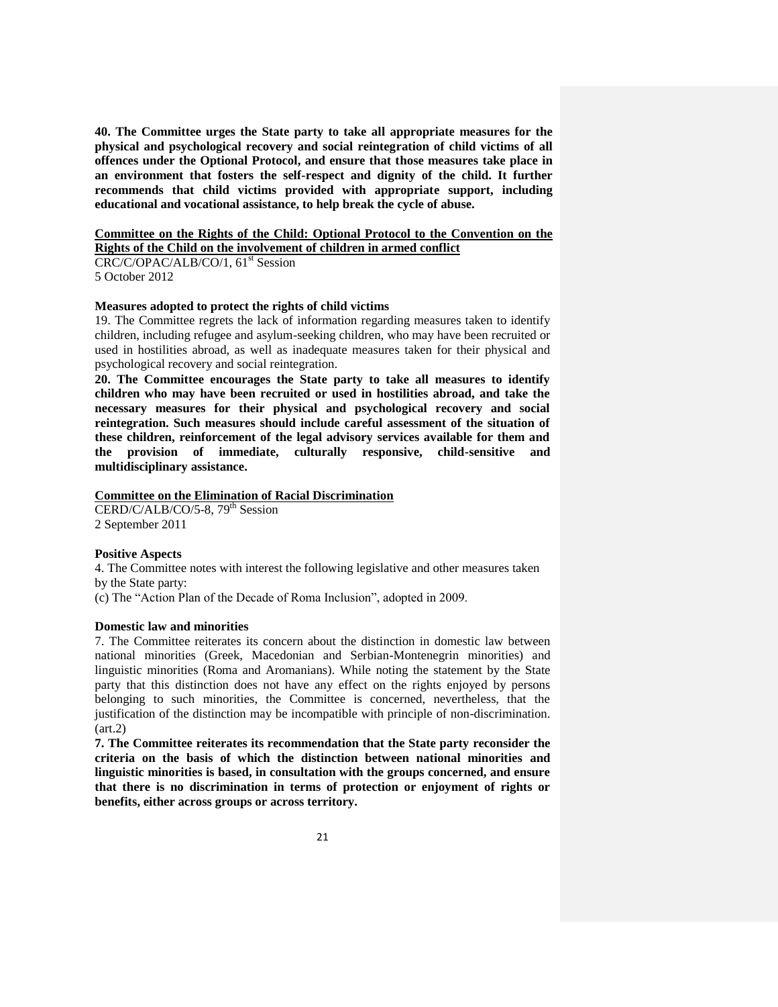**40. The Committee urges the State party to take all appropriate measures for the physical and psychological recovery and social reintegration of child victims of all offences under the Optional Protocol, and ensure that those measures take place in an environment that fosters the self-respect and dignity of the child. It further recommends that child victims provided with appropriate support, including educational and vocational assistance, to help break the cycle of abuse.**

### **Committee on the Rights of the Child: Optional Protocol to the Convention on the Rights of the Child on the involvement of children in armed conflict**

CRC/C/OPAC/ALB/CO/1, 61<sup>st</sup> Session 5 October 2012

## **Measures adopted to protect the rights of child victims**

19. The Committee regrets the lack of information regarding measures taken to identify children, including refugee and asylum-seeking children, who may have been recruited or used in hostilities abroad, as well as inadequate measures taken for their physical and psychological recovery and social reintegration.

**20. The Committee encourages the State party to take all measures to identify children who may have been recruited or used in hostilities abroad, and take the necessary measures for their physical and psychological recovery and social reintegration. Such measures should include careful assessment of the situation of these children, reinforcement of the legal advisory services available for them and the provision of immediate, culturally responsive, child-sensitive and multidisciplinary assistance.**

# **Committee on the Elimination of Racial Discrimination**

CERD/C/ALB/CO/5-8,  $79<sup>th</sup>$  Session 2 September 2011

### **Positive Aspects**

4. The Committee notes with interest the following legislative and other measures taken by the State party:

(c) The "Action Plan of the Decade of Roma Inclusion", adopted in 2009.

### **Domestic law and minorities**

7. The Committee reiterates its concern about the distinction in domestic law between national minorities (Greek, Macedonian and Serbian-Montenegrin minorities) and linguistic minorities (Roma and Aromanians). While noting the statement by the State party that this distinction does not have any effect on the rights enjoyed by persons belonging to such minorities, the Committee is concerned, nevertheless, that the justification of the distinction may be incompatible with principle of non-discrimination.  $(art.2)$ 

**7. The Committee reiterates its recommendation that the State party reconsider the criteria on the basis of which the distinction between national minorities and linguistic minorities is based, in consultation with the groups concerned, and ensure that there is no discrimination in terms of protection or enjoyment of rights or benefits, either across groups or across territory.**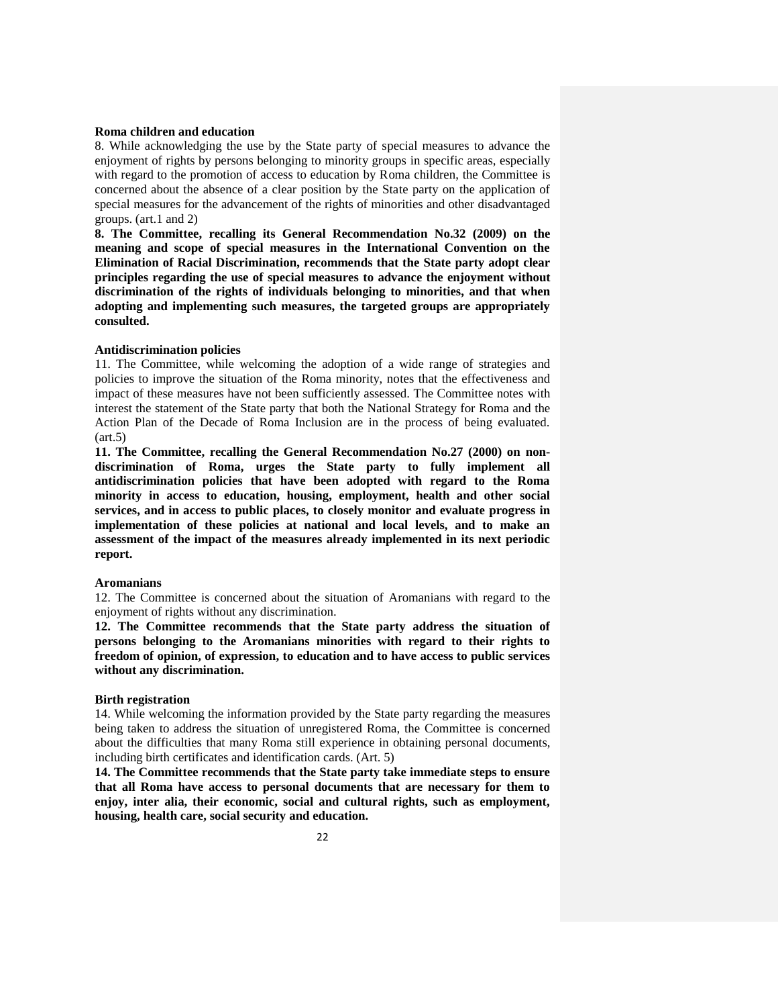## **Roma children and education**

8. While acknowledging the use by the State party of special measures to advance the enjoyment of rights by persons belonging to minority groups in specific areas, especially with regard to the promotion of access to education by Roma children, the Committee is concerned about the absence of a clear position by the State party on the application of special measures for the advancement of the rights of minorities and other disadvantaged groups. (art.1 and 2)

**8. The Committee, recalling its General Recommendation No.32 (2009) on the meaning and scope of special measures in the International Convention on the Elimination of Racial Discrimination, recommends that the State party adopt clear principles regarding the use of special measures to advance the enjoyment without discrimination of the rights of individuals belonging to minorities, and that when adopting and implementing such measures, the targeted groups are appropriately consulted.**

# **Antidiscrimination policies**

11. The Committee, while welcoming the adoption of a wide range of strategies and policies to improve the situation of the Roma minority, notes that the effectiveness and impact of these measures have not been sufficiently assessed. The Committee notes with interest the statement of the State party that both the National Strategy for Roma and the Action Plan of the Decade of Roma Inclusion are in the process of being evaluated.  $(art.5)$ 

**11. The Committee, recalling the General Recommendation No.27 (2000) on nondiscrimination of Roma, urges the State party to fully implement all antidiscrimination policies that have been adopted with regard to the Roma minority in access to education, housing, employment, health and other social services, and in access to public places, to closely monitor and evaluate progress in implementation of these policies at national and local levels, and to make an assessment of the impact of the measures already implemented in its next periodic report.** 

#### **Aromanians**

12. The Committee is concerned about the situation of Aromanians with regard to the enjoyment of rights without any discrimination.

**12. The Committee recommends that the State party address the situation of persons belonging to the Aromanians minorities with regard to their rights to freedom of opinion, of expression, to education and to have access to public services without any discrimination.**

### **Birth registration**

14. While welcoming the information provided by the State party regarding the measures being taken to address the situation of unregistered Roma, the Committee is concerned about the difficulties that many Roma still experience in obtaining personal documents, including birth certificates and identification cards. (Art. 5)

**14. The Committee recommends that the State party take immediate steps to ensure that all Roma have access to personal documents that are necessary for them to enjoy, inter alia, their economic, social and cultural rights, such as employment, housing, health care, social security and education.**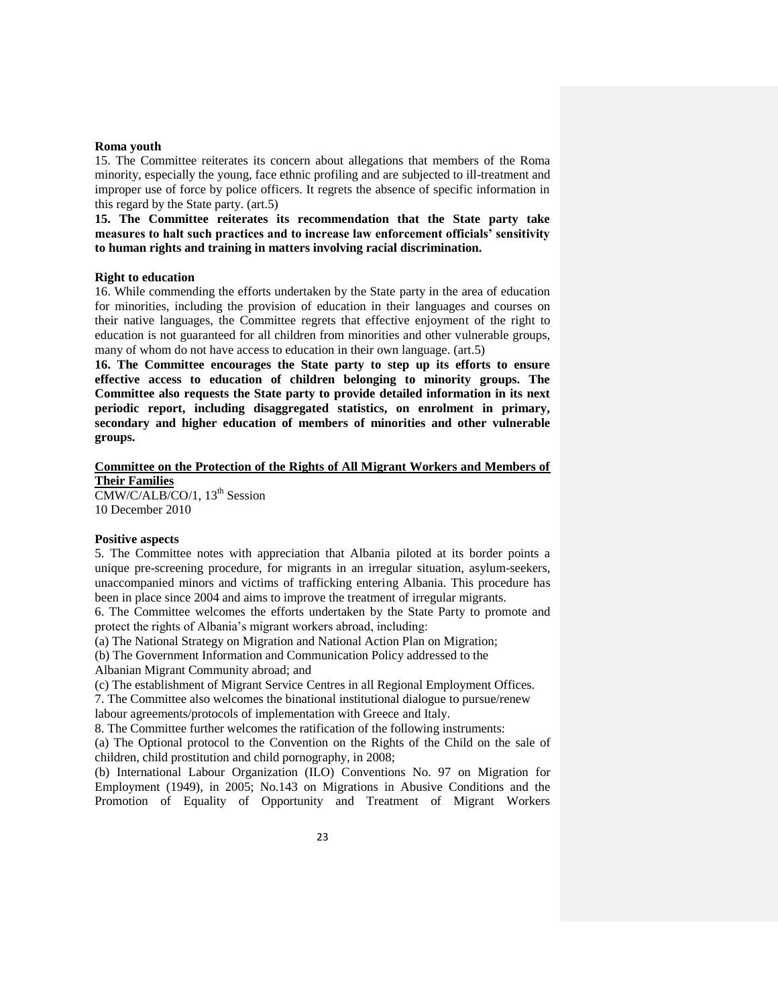### **Roma youth**

15. The Committee reiterates its concern about allegations that members of the Roma minority, especially the young, face ethnic profiling and are subjected to ill-treatment and improper use of force by police officers. It regrets the absence of specific information in this regard by the State party. (art.5)

**15. The Committee reiterates its recommendation that the State party take measures to halt such practices and to increase law enforcement officials' sensitivity to human rights and training in matters involving racial discrimination.** 

#### **Right to education**

16. While commending the efforts undertaken by the State party in the area of education for minorities, including the provision of education in their languages and courses on their native languages, the Committee regrets that effective enjoyment of the right to education is not guaranteed for all children from minorities and other vulnerable groups, many of whom do not have access to education in their own language. (art.5)

**16. The Committee encourages the State party to step up its efforts to ensure effective access to education of children belonging to minority groups. The Committee also requests the State party to provide detailed information in its next periodic report, including disaggregated statistics, on enrolment in primary, secondary and higher education of members of minorities and other vulnerable groups.**

### **Committee on the Protection of the Rights of All Migrant Workers and Members of Their Families**

CMW/C/ALB/CO/1, 13<sup>th</sup> Session 10 December 2010

### **Positive aspects**

5. The Committee notes with appreciation that Albania piloted at its border points a unique pre-screening procedure, for migrants in an irregular situation, asylum-seekers, unaccompanied minors and victims of trafficking entering Albania. This procedure has been in place since 2004 and aims to improve the treatment of irregular migrants.

6. The Committee welcomes the efforts undertaken by the State Party to promote and protect the rights of Albania's migrant workers abroad, including:

(a) The National Strategy on Migration and National Action Plan on Migration;

(b) The Government Information and Communication Policy addressed to the

Albanian Migrant Community abroad; and

(c) The establishment of Migrant Service Centres in all Regional Employment Offices.

7. The Committee also welcomes the binational institutional dialogue to pursue/renew labour agreements/protocols of implementation with Greece and Italy.

8. The Committee further welcomes the ratification of the following instruments:

(a) The Optional protocol to the Convention on the Rights of the Child on the sale of children, child prostitution and child pornography, in 2008;

(b) International Labour Organization (ILO) Conventions No. 97 on Migration for Employment (1949), in 2005; No.143 on Migrations in Abusive Conditions and the Promotion of Equality of Opportunity and Treatment of Migrant Workers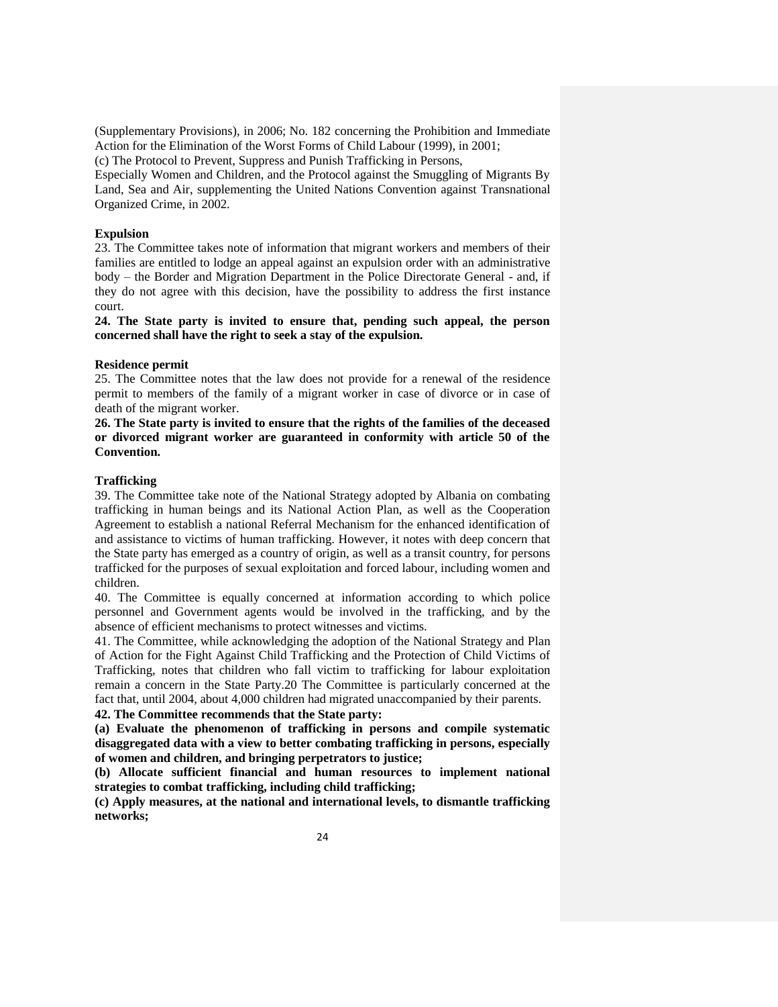(Supplementary Provisions), in 2006; No. 182 concerning the Prohibition and Immediate Action for the Elimination of the Worst Forms of Child Labour (1999), in 2001;

(c) The Protocol to Prevent, Suppress and Punish Trafficking in Persons,

Especially Women and Children, and the Protocol against the Smuggling of Migrants By Land, Sea and Air, supplementing the United Nations Convention against Transnational Organized Crime, in 2002.

## **Expulsion**

23. The Committee takes note of information that migrant workers and members of their families are entitled to lodge an appeal against an expulsion order with an administrative body – the Border and Migration Department in the Police Directorate General - and, if they do not agree with this decision, have the possibility to address the first instance court.

**24. The State party is invited to ensure that, pending such appeal, the person concerned shall have the right to seek a stay of the expulsion.**

### **Residence permit**

25. The Committee notes that the law does not provide for a renewal of the residence permit to members of the family of a migrant worker in case of divorce or in case of death of the migrant worker.

**26. The State party is invited to ensure that the rights of the families of the deceased or divorced migrant worker are guaranteed in conformity with article 50 of the Convention.**

# **Trafficking**

39. The Committee take note of the National Strategy adopted by Albania on combating trafficking in human beings and its National Action Plan, as well as the Cooperation Agreement to establish a national Referral Mechanism for the enhanced identification of and assistance to victims of human trafficking. However, it notes with deep concern that the State party has emerged as a country of origin, as well as a transit country, for persons trafficked for the purposes of sexual exploitation and forced labour, including women and children.

40. The Committee is equally concerned at information according to which police personnel and Government agents would be involved in the trafficking, and by the absence of efficient mechanisms to protect witnesses and victims.

41. The Committee, while acknowledging the adoption of the National Strategy and Plan of Action for the Fight Against Child Trafficking and the Protection of Child Victims of Trafficking, notes that children who fall victim to trafficking for labour exploitation remain a concern in the State Party.20 The Committee is particularly concerned at the fact that, until 2004, about 4,000 children had migrated unaccompanied by their parents. **42. The Committee recommends that the State party:** 

**(a) Evaluate the phenomenon of trafficking in persons and compile systematic disaggregated data with a view to better combating trafficking in persons, especially** 

**of women and children, and bringing perpetrators to justice; (b) Allocate sufficient financial and human resources to implement national** 

**strategies to combat trafficking, including child trafficking;**

**(c) Apply measures, at the national and international levels, to dismantle trafficking networks;**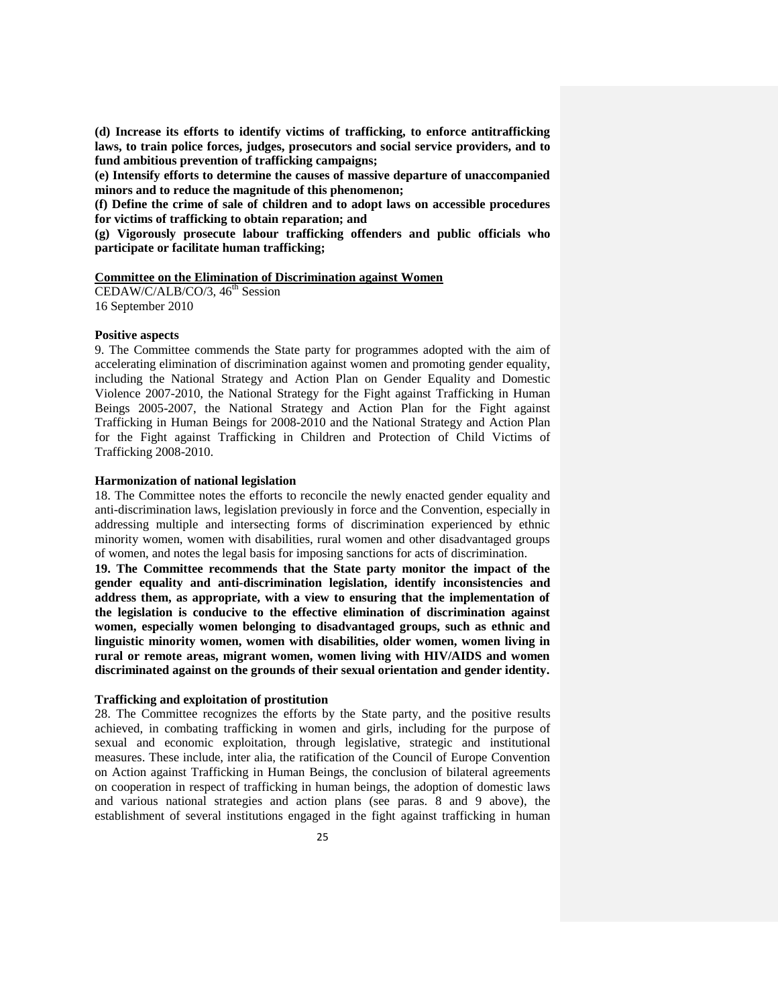**(d) Increase its efforts to identify victims of trafficking, to enforce antitrafficking laws, to train police forces, judges, prosecutors and social service providers, and to fund ambitious prevention of trafficking campaigns;** 

**(e) Intensify efforts to determine the causes of massive departure of unaccompanied minors and to reduce the magnitude of this phenomenon;**

**(f) Define the crime of sale of children and to adopt laws on accessible procedures for victims of trafficking to obtain reparation; and** 

**(g) Vigorously prosecute labour trafficking offenders and public officials who participate or facilitate human trafficking;**

# **Committee on the Elimination of Discrimination against Women**

CEDAW/C/ALB/CO/3,  $46<sup>th</sup>$  Session 16 September 2010

### **Positive aspects**

9. The Committee commends the State party for programmes adopted with the aim of accelerating elimination of discrimination against women and promoting gender equality, including the National Strategy and Action Plan on Gender Equality and Domestic Violence 2007-2010, the National Strategy for the Fight against Trafficking in Human Beings 2005-2007, the National Strategy and Action Plan for the Fight against Trafficking in Human Beings for 2008-2010 and the National Strategy and Action Plan for the Fight against Trafficking in Children and Protection of Child Victims of Trafficking 2008-2010.

# **Harmonization of national legislation**

18. The Committee notes the efforts to reconcile the newly enacted gender equality and anti-discrimination laws, legislation previously in force and the Convention, especially in addressing multiple and intersecting forms of discrimination experienced by ethnic minority women, women with disabilities, rural women and other disadvantaged groups of women, and notes the legal basis for imposing sanctions for acts of discrimination.

**19. The Committee recommends that the State party monitor the impact of the gender equality and anti-discrimination legislation, identify inconsistencies and address them, as appropriate, with a view to ensuring that the implementation of the legislation is conducive to the effective elimination of discrimination against women, especially women belonging to disadvantaged groups, such as ethnic and linguistic minority women, women with disabilities, older women, women living in rural or remote areas, migrant women, women living with HIV/AIDS and women discriminated against on the grounds of their sexual orientation and gender identity.**

# **Trafficking and exploitation of prostitution**

28. The Committee recognizes the efforts by the State party, and the positive results achieved, in combating trafficking in women and girls, including for the purpose of sexual and economic exploitation, through legislative, strategic and institutional measures. These include, inter alia, the ratification of the Council of Europe Convention on Action against Trafficking in Human Beings, the conclusion of bilateral agreements on cooperation in respect of trafficking in human beings, the adoption of domestic laws and various national strategies and action plans (see paras. 8 and 9 above), the establishment of several institutions engaged in the fight against trafficking in human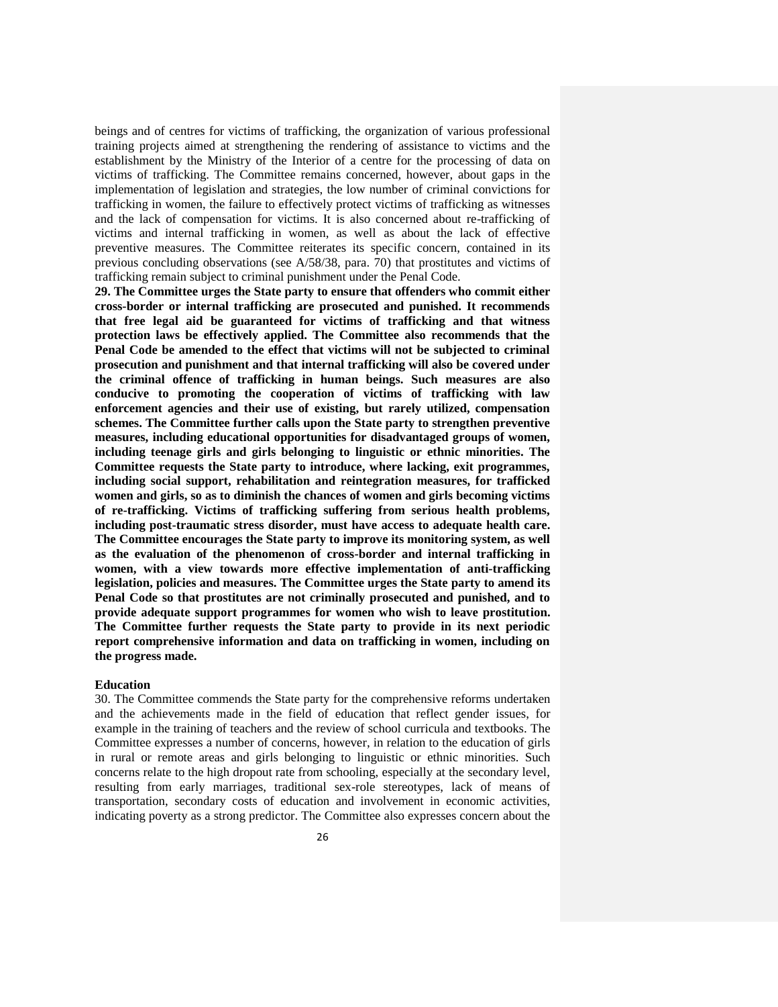beings and of centres for victims of trafficking, the organization of various professional training projects aimed at strengthening the rendering of assistance to victims and the establishment by the Ministry of the Interior of a centre for the processing of data on victims of trafficking. The Committee remains concerned, however, about gaps in the implementation of legislation and strategies, the low number of criminal convictions for trafficking in women, the failure to effectively protect victims of trafficking as witnesses and the lack of compensation for victims. It is also concerned about re-trafficking of victims and internal trafficking in women, as well as about the lack of effective preventive measures. The Committee reiterates its specific concern, contained in its previous concluding observations (see A/58/38, para. 70) that prostitutes and victims of trafficking remain subject to criminal punishment under the Penal Code.

**29. The Committee urges the State party to ensure that offenders who commit either cross-border or internal trafficking are prosecuted and punished. It recommends that free legal aid be guaranteed for victims of trafficking and that witness protection laws be effectively applied. The Committee also recommends that the Penal Code be amended to the effect that victims will not be subjected to criminal prosecution and punishment and that internal trafficking will also be covered under the criminal offence of trafficking in human beings. Such measures are also conducive to promoting the cooperation of victims of trafficking with law enforcement agencies and their use of existing, but rarely utilized, compensation schemes. The Committee further calls upon the State party to strengthen preventive measures, including educational opportunities for disadvantaged groups of women, including teenage girls and girls belonging to linguistic or ethnic minorities. The Committee requests the State party to introduce, where lacking, exit programmes, including social support, rehabilitation and reintegration measures, for trafficked women and girls, so as to diminish the chances of women and girls becoming victims of re-trafficking. Victims of trafficking suffering from serious health problems, including post-traumatic stress disorder, must have access to adequate health care. The Committee encourages the State party to improve its monitoring system, as well as the evaluation of the phenomenon of cross-border and internal trafficking in women, with a view towards more effective implementation of anti-trafficking legislation, policies and measures. The Committee urges the State party to amend its Penal Code so that prostitutes are not criminally prosecuted and punished, and to provide adequate support programmes for women who wish to leave prostitution. The Committee further requests the State party to provide in its next periodic report comprehensive information and data on trafficking in women, including on the progress made.**

### **Education**

30. The Committee commends the State party for the comprehensive reforms undertaken and the achievements made in the field of education that reflect gender issues, for example in the training of teachers and the review of school curricula and textbooks. The Committee expresses a number of concerns, however, in relation to the education of girls in rural or remote areas and girls belonging to linguistic or ethnic minorities. Such concerns relate to the high dropout rate from schooling, especially at the secondary level, resulting from early marriages, traditional sex-role stereotypes, lack of means of transportation, secondary costs of education and involvement in economic activities, indicating poverty as a strong predictor. The Committee also expresses concern about the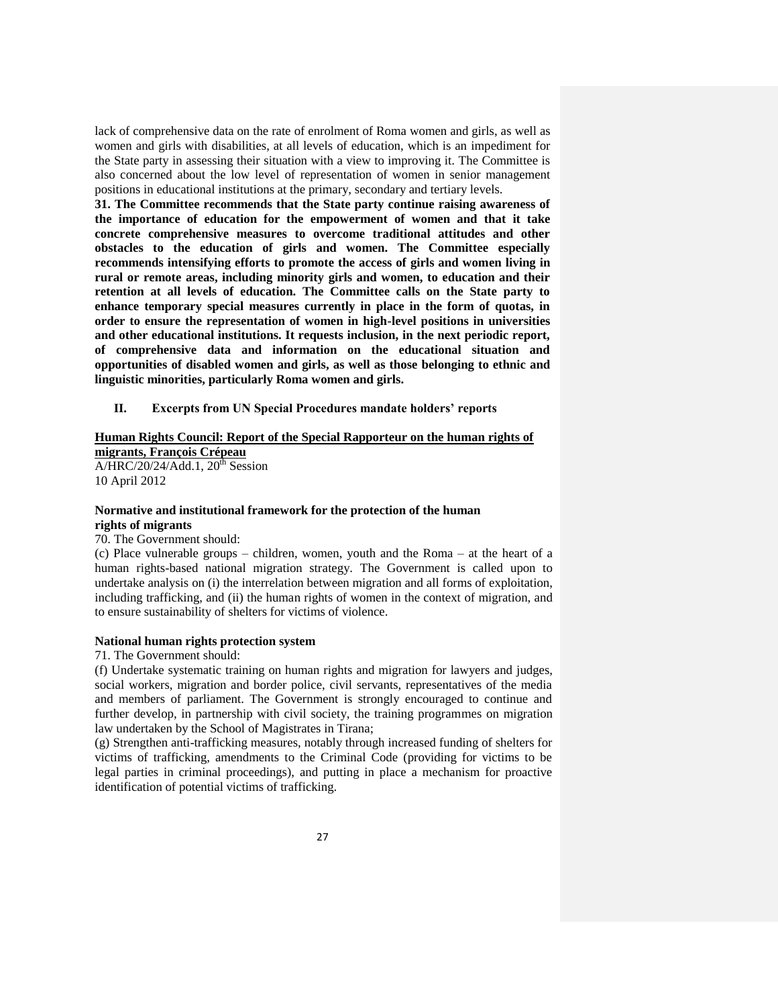lack of comprehensive data on the rate of enrolment of Roma women and girls, as well as women and girls with disabilities, at all levels of education, which is an impediment for the State party in assessing their situation with a view to improving it. The Committee is also concerned about the low level of representation of women in senior management positions in educational institutions at the primary, secondary and tertiary levels.

**31. The Committee recommends that the State party continue raising awareness of the importance of education for the empowerment of women and that it take concrete comprehensive measures to overcome traditional attitudes and other obstacles to the education of girls and women. The Committee especially recommends intensifying efforts to promote the access of girls and women living in rural or remote areas, including minority girls and women, to education and their retention at all levels of education. The Committee calls on the State party to enhance temporary special measures currently in place in the form of quotas, in order to ensure the representation of women in high-level positions in universities and other educational institutions. It requests inclusion, in the next periodic report, of comprehensive data and information on the educational situation and opportunities of disabled women and girls, as well as those belonging to ethnic and linguistic minorities, particularly Roma women and girls.**

**II. Excerpts from UN Special Procedures mandate holders' reports**

# **Human Rights Council: Report of the Special Rapporteur on the human rights of migrants, François Crépeau**

 $A/HRC/20/24/Add.1$ ,  $20<sup>th</sup> Session$ 10 April 2012

# **Normative and institutional framework for the protection of the human rights of migrants**

# 70. The Government should:

(c) Place vulnerable groups – children, women, youth and the Roma – at the heart of a human rights-based national migration strategy. The Government is called upon to undertake analysis on (i) the interrelation between migration and all forms of exploitation, including trafficking, and (ii) the human rights of women in the context of migration, and to ensure sustainability of shelters for victims of violence.

## **National human rights protection system**

#### 71. The Government should:

(f) Undertake systematic training on human rights and migration for lawyers and judges, social workers, migration and border police, civil servants, representatives of the media and members of parliament. The Government is strongly encouraged to continue and further develop, in partnership with civil society, the training programmes on migration law undertaken by the School of Magistrates in Tirana;

(g) Strengthen anti-trafficking measures, notably through increased funding of shelters for victims of trafficking, amendments to the Criminal Code (providing for victims to be legal parties in criminal proceedings), and putting in place a mechanism for proactive identification of potential victims of trafficking.